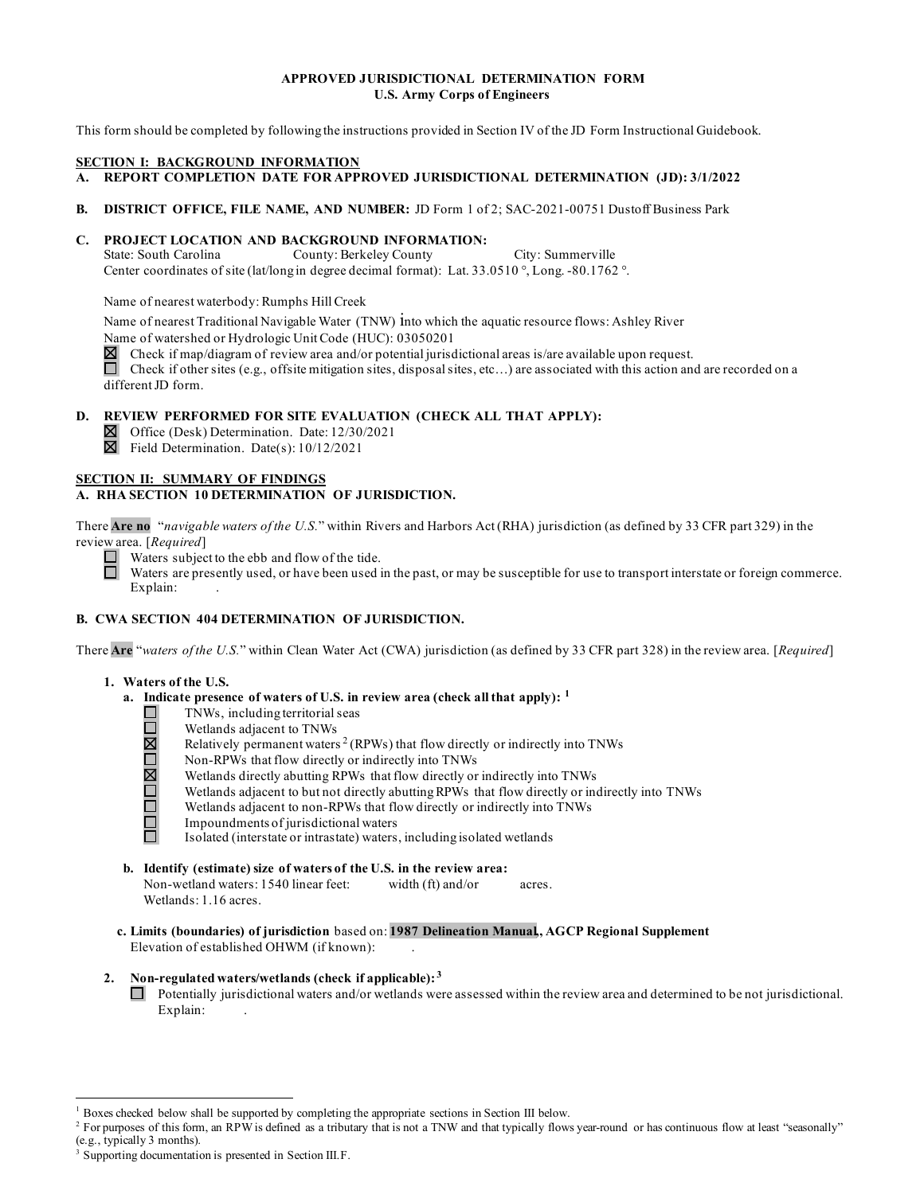#### **APPROVED JURISDICTIONAL DETERMINATION FORM U.S. Army Corps of Engineers**

This form should be completed by following the instructions provided in Section IV of the JD Form Instructional Guidebook.

#### **SECTION I: BACKGROUND INFORMATION**

- **A. REPORT COMPLETION DATE FOR APPROVED JURISDICTIONAL DETERMINATION (JD): 3/1/2022**
- **B. DISTRICT OFFICE, FILE NAME, AND NUMBER:** JD Form 1 of 2; SAC-2021-00751 Dustoff Business Park

#### **C. PROJECT LOCATION AND BACKGROUND INFORMATION:**

State: South Carolina Center coordinates of site (lat/long in degree decimal format): Lat. 33.0510 °, Long. -80.1762 °. County: Berkeley County City: Summerville

Name of nearest waterbody: Rumphs Hill Creek

 Name of nearest Traditional Navigable Water (TNW) into which the aquatic resource flows: Ashley River Name of watershed or Hydrologic Unit Code (HUC): 03050201

 $\boxtimes$  Check if map/diagram of review area and/or potential jurisdictional areas is/are available upon request.

 Check if other sites (e.g., offsite mitigation sites, disposal sites, etc…) are associated with this action and are recorded on a different JD form.

### **D. REVIEW PERFORMED FOR SITE EVALUATION (CHECK ALL THAT APPLY):**

Office (Desk) Determination. Date: 12/30/2021

Field Determination. Date(s): 10/12/2021

#### **A. RHA SECTION 10 DETERMINATION OF JURISDICTION.**

 There **Are no** "*navigable waters of the U.S.*" within Rivers and Harbors Act (RHA) jurisdiction (as defined by 33 CFR part 329) in the review area. [Required] **SECTION II: SUMMARY OF FINDINGS**<br> **A. RHA SECTION 10 DETERMINATION**<br>
There **Are no** "*navigable waters of the U.S.*"<br>
review area. [*Required*]<br>
Waters subject to the ebb and flow only waters are presently used, or have b

review area. [*Required*]<br>
Waters subject to the ebb and flow of the tide.

 Waters are presently used, or have been used in the past, or may be susceptible for use to transport interstate or foreign commerce. □ Explain:

#### **B. CWA SECTION 404 DETERMINATION OF JURISDICTION.**

Are "<sup>W</sup><br>Not There **Are** "*waters of the U.S.*" within Clean Water Act (CWA) jurisdiction (as defined by 33 CFR part 328) in the review area. [*Required*]

#### **1. Waters of the U.S.**

- **a. Indicate presence of waters of U.S. in review area (check all that apply): [1](#page-0-0)** 
	- TNWs, including territorial seas
	- $\Box$ Wetlands adjacent to TNWs
	- $\overline{\mathbb{R}}$ Relatively permanent waters  $2$  (RPWs) that flow directly or indirectly into TNWs
		- Non-RPWs that flow directly or indirectly into TNWs
		- Wetlands directly abutting RPWs that flow directly or indirectly into TNWs
	- OMI Wetlands adjacent to but not directly abutting RPWs that flow directly or indirectly into TNWs Ō
		- Wetlands adjacent to non-RPWs that flow directly or indirectly into TNWs
	- Ā Impoundments of jurisdictional waters

Isolated (interstate or intrastate) waters, including isolated wetlands

**b. Identify (estimate) size of waters of the U.S. in the review area:**  Non-wetland waters: 1540 linear feet: width (ft) and/or acres.

[Wetlands:](https://Wetlands:1.16) 1.16 acres.

**c. Limits (boundaries) of jurisdiction** based on: **1987 Delineation Manual,, AGCP Regional Supplement**  Elevation of established OHWM (if known): .

#### **2. Non-regulated waters/wetlands (check if applicable): [3](#page-0-2)**

 Explain: . Potentially jurisdictional waters and/or wetlands were assessed within the review area and determined to be not jurisdictional.

<span id="page-0-1"></span><span id="page-0-0"></span><sup>1</sup> Boxes checked below shall be supported by completing the appropriate sections in Section III below.

<sup>&</sup>lt;sup>2</sup> For purposes of this form, an RPW is defined as a tributary that is not a TNW and that typically flows year-round or has continuous flow at least "seasonally" (e.g., typically 3 months).  $3$  Supporting documentation is presented in Section III.F.

<span id="page-0-2"></span>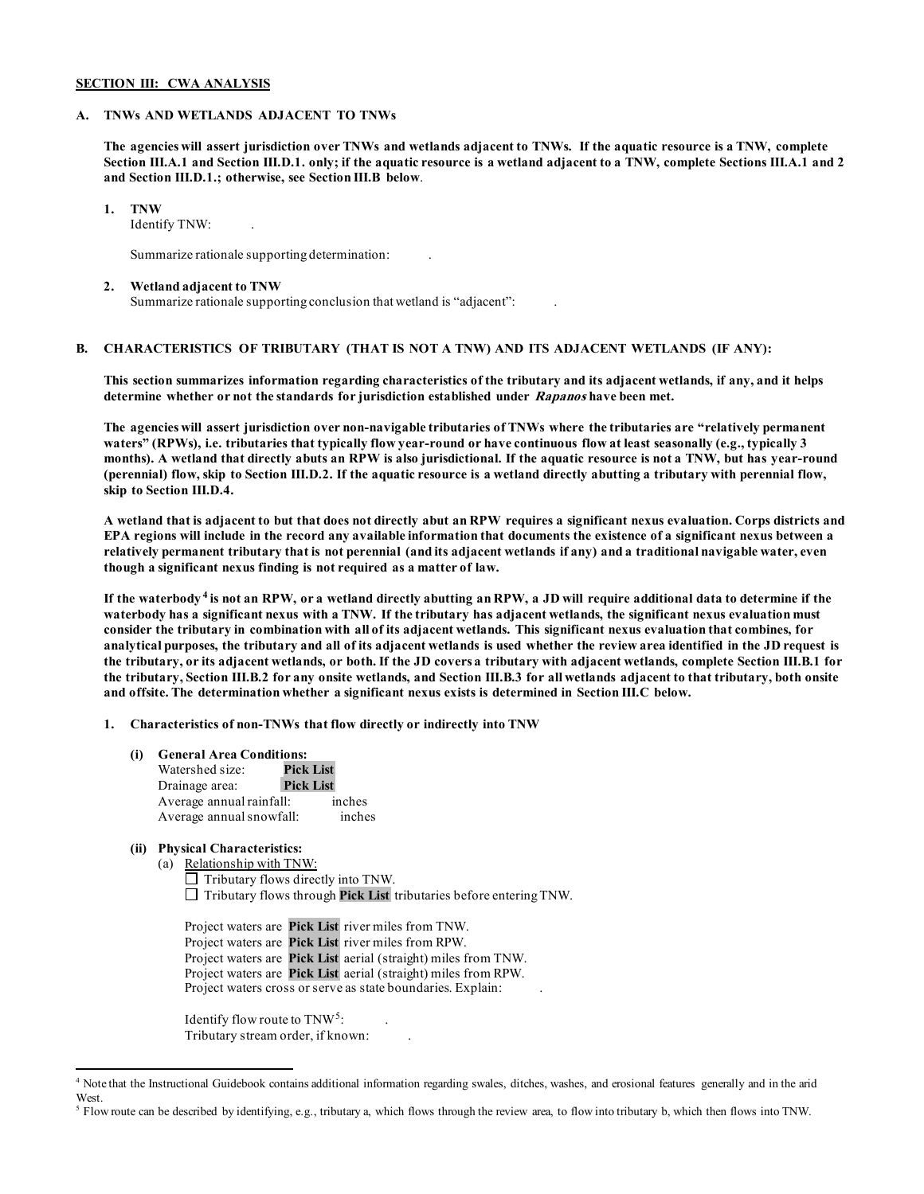#### **SECTION III: CWA ANALYSIS**

#### **A. TNWs AND WETLANDS ADJACENT TO TNWs**

 **The agencies will assert jurisdiction over TNWs and wetlands adjacent to TNWs. If the aquatic resource is a TNW, complete Section III.A.1 and Section III.D.1. only; if the aquatic resource is a wetland adjacent to a TNW, complete Sections III.A.1 and 2 and Section III.D.1.; otherwise, see Section III.B below**.

#### **1. TNW**

Identify TNW: .

Summarize rationale supporting determination:

#### **2. Wetland adjacent to TNW**

Summarize rationale supporting conclusion that wetland is "adjacent": .

#### **B. CHARACTERISTICS OF TRIBUTARY (THAT IS NOT A TNW) AND ITS ADJACENT WETLANDS (IF ANY):**

 **This section summarizes information regarding characteristics of the tributary and its adjacent wetlands, if any, and it helps determine whether or not the standards for jurisdiction established under Rapanos have been met.** 

 **The agencies will assert jurisdiction over non-navigable tributaries of TNWs where the tributaries are "relatively permanent waters" (RPWs), i.e. tributaries that typically flow year-round or have continuous flow at least seasonally (e.g., typically 3 (perennial) flow, skip to Section III.D.2. If the aquatic resource is a wetland directly abutting a tributary with perennial flow,**  skip to Section III.D.4. **months). A wetland that directly abuts an RPW is also jurisdictional. If the aquatic resource is not a TNW, but has year-round** 

skip to Section III.D.4.<br>A wetland that is adjacent to but that does not directly abut an RPW requires a significant nexus evaluation. Corps districts and  **EPA regions will include in the record any available information that documents the existence of a significant nexus between a relatively permanent tributary that is not perennial (and its adjacent wetlands if any) and a traditional navigable water, even though a significant nexus finding is not required as a matter of law.** 

 **If the waterbody [4](#page-1-0) is not an RPW, or a wetland directly abutting an RPW, a JD will require additional data to determine if the waterbody has a significant nexus with a TNW. If the tributary has adjacent wetlands, the significant nexus evaluation must consider the tributary in combination with all of its adjacent wetlands. This significant nexus evaluation that combines, for analytical purposes, the tributary and all of its adjacent wetlands is used whether the review area identified in the JD request is the tributary, Section III.B.2 for any onsite wetlands, and Section III.B.3 for all wetlands adjacent to that tributary, both onsite and offsite. The determination whether a significant nexus exists is determined in Section III.C below. the tributary, or its adjacent wetlands, or both. If the JD covers a tributary with adjacent wetlands, complete Section III.B.1 for** 

**1. Characteristics of non-TNWs that flow directly or indirectly into TNW** 

#### **(i) General Area Conditions:**

| Watershed size:          | <b>Pick List</b> |        |
|--------------------------|------------------|--------|
| Drainage area:           | <b>Pick List</b> |        |
| Average annual rainfall: |                  | inches |
| Average annual snowfall: |                  | inches |

#### **(ii) Physical Characteristics:**

(a) Relationship with TNW:

 $\Box$  Tributary flows directly into TNW. □ Tributary flows through **Pick List** tributaries before entering TNW.

 Project waters are **Pick List** river miles from TNW. Project waters are **Pick List** river miles from RPW. Project waters are **Pick List** aerial (straight) miles from TNW. Project waters are **Pick List** aerial (straight) miles from RPW. Project waters cross or serve as state boundaries. Explain:

Identify flow route to TNW<sup>[5](#page-1-1)</sup>:  $: \mathbb{R}^n \times \mathbb{R}^n$ Tributary stream order, if known: .

<span id="page-1-0"></span><sup>4</sup> Note that the Instructional Guidebook contains additional information regarding swales, ditches, washes, and erosional features generally and in the arid West.

<span id="page-1-1"></span> 5 Flow route can be described by identifying, e.g., tributary a, which flows through the review area, to flow into tributary b, which then flows into TNW.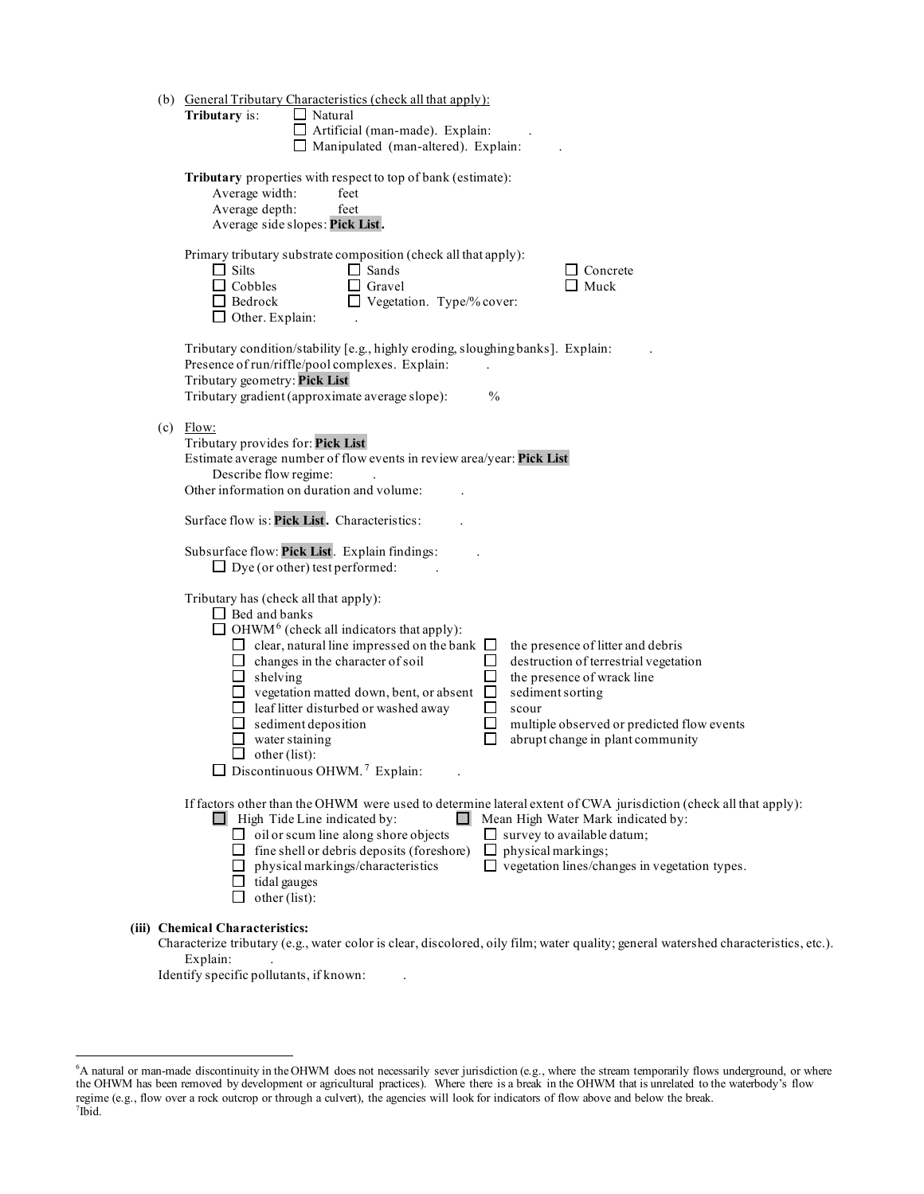|     | (b) General Tributary Characteristics (check all that apply):                                                                       |
|-----|-------------------------------------------------------------------------------------------------------------------------------------|
|     | Tributary is:<br>$\Box$ Natural                                                                                                     |
|     | $\Box$ Artificial (man-made). Explain:                                                                                              |
|     | $\Box$ Manipulated (man-altered). Explain:                                                                                          |
|     |                                                                                                                                     |
|     | Tributary properties with respect to top of bank (estimate):                                                                        |
|     | Average width:<br>feet                                                                                                              |
|     | Average depth:<br>feet                                                                                                              |
|     | Average side slopes: Pick List.                                                                                                     |
|     |                                                                                                                                     |
|     | Primary tributary substrate composition (check all that apply):                                                                     |
|     | $\Box$ Silts<br>$\Box$ Sands<br>$\Box$ Concrete                                                                                     |
|     | $\Box$ Cobbles<br>Muck<br>$\Box$ Gravel                                                                                             |
|     | $\Box$ Bedrock<br>$\Box$ Vegetation. Type/% cover:                                                                                  |
|     | $\Box$ Other. Explain:                                                                                                              |
|     |                                                                                                                                     |
|     | Tributary condition/stability [e.g., highly eroding, sloughing banks]. Explain:                                                     |
|     | Presence of run/riffle/pool complexes. Explain:                                                                                     |
|     | Tributary geometry: Pick List<br>Tributary gradient (approximate average slope):<br>$\frac{0}{0}$                                   |
|     |                                                                                                                                     |
| (c) | Flow:                                                                                                                               |
|     | Tributary provides for: Pick List                                                                                                   |
|     | Estimate average number of flow events in review area/year: Pick List                                                               |
|     | Describe flow regime:                                                                                                               |
|     | Other information on duration and volume:                                                                                           |
|     |                                                                                                                                     |
|     | Surface flow is: Pick List. Characteristics:                                                                                        |
|     | Subsurface flow: Pick List. Explain findings:                                                                                       |
|     | $\Box$ Dye (or other) test performed:                                                                                               |
|     |                                                                                                                                     |
|     | Tributary has (check all that apply):                                                                                               |
|     | $\Box$ Bed and banks                                                                                                                |
|     | $\Box$ OHWM <sup>6</sup> (check all indicators that apply):                                                                         |
|     | $\Box$ clear, natural line impressed on the bank $\Box$<br>the presence of litter and debris                                        |
|     | destruction of terrestrial vegetation<br>$\Box$ changes in the character of soil<br>□                                               |
|     | $\Box$ shelving<br>П<br>the presence of wrack line                                                                                  |
|     | $\Box$ vegetation matted down, bent, or absent<br>$\Box$<br>sediment sorting                                                        |
|     | $\Box$ leaf litter disturbed or washed away<br>$\Box$<br>scour                                                                      |
|     | □<br>multiple observed or predicted flow events<br>$\Box$ sediment deposition                                                       |
|     | abrupt change in plant community<br>water staining                                                                                  |
|     | $\Box$ other (list):                                                                                                                |
|     | $\Box$ Discontinuous OHWM. <sup>7</sup> Explain:                                                                                    |
|     | If factors other than the OHWM were used to determine lateral extent of CWA jurisdiction (check all that apply):                    |
|     | $\Box$ High Tide Line indicated by:<br>Mean High Water Mark indicated by:                                                           |
|     | $\Box$ oil or scum line along shore objects<br>$\Box$ survey to available datum;                                                    |
|     | $\Box$ fine shell or debris deposits (foreshore)<br>physical markings;<br>⊔                                                         |
|     | $\Box$ vegetation lines/changes in vegetation types.<br>$\Box$ physical markings/characteristics                                    |
|     | $\Box$ tidal gauges                                                                                                                 |
|     | $\Box$ other (list):                                                                                                                |
|     |                                                                                                                                     |
|     | (iii) Chemical Characteristics:                                                                                                     |
|     | Characterize tributary (e.g., water color is clear, discolored, oily film; water quality; general watershed characteristics, etc.). |
|     | Explain:                                                                                                                            |

Identify specific pollutants, if known: .

<span id="page-2-1"></span><span id="page-2-0"></span> 6 A natural or man-made discontinuity in the OHWM does not necessarily sever jurisdiction (e.g., where the stream temporarily flows underground, or where the OHWM has been removed by development or agricultural practices). Where there is a break in the OHWM that is unrelated to the waterbody's flow regime (e.g., flow over a rock outcrop or through a culvert), the agencies will look for indicators of flow above and below the break. 7 Ibid.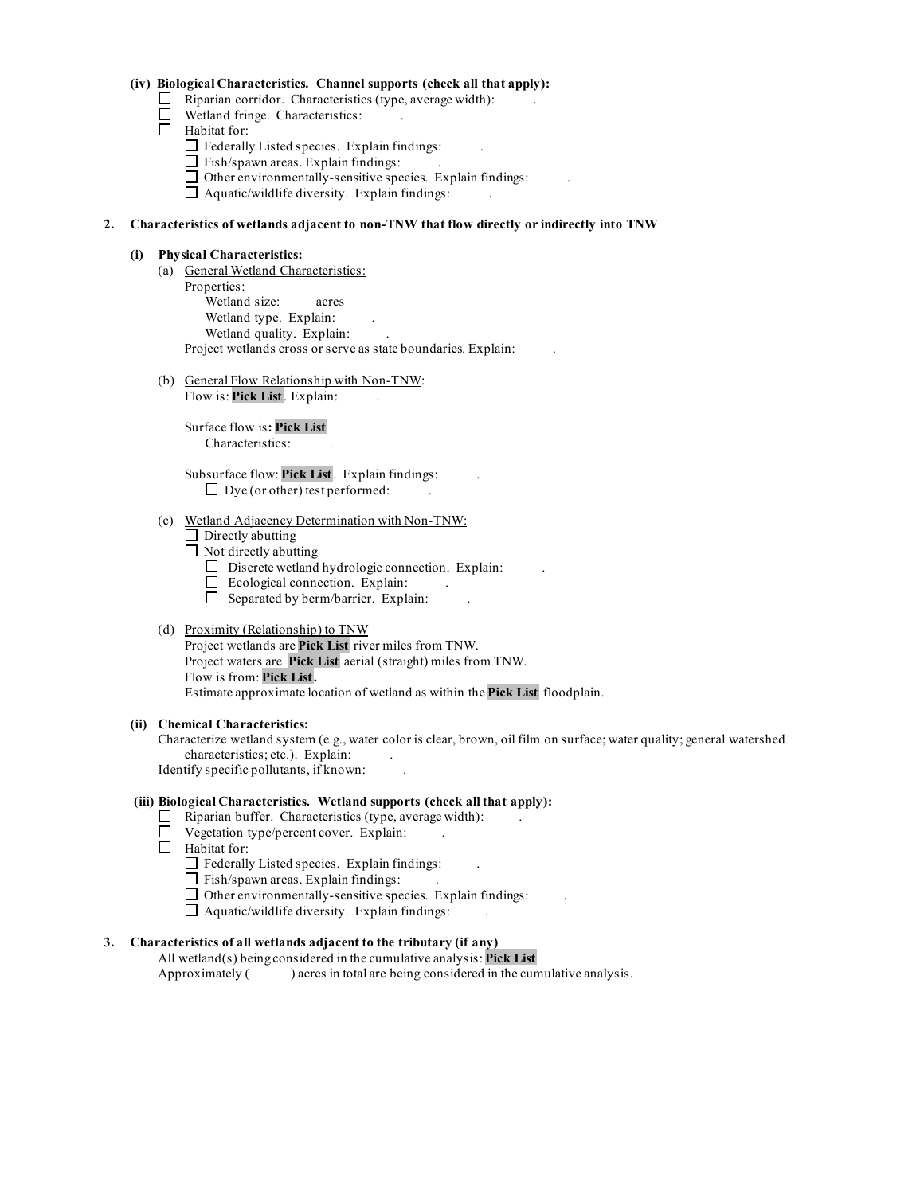#### **(iv) Biological Characteristics. Channel supports (check all that apply):**

- $\Box$  Riparian corridor. Characteristics (type, average width):
- □ Wetland fringe. Characteristics: .
- □ Habitat for:
	- $\Box$  Federally Listed species. Explain findings:
	- $\Box$  Fish/spawn areas. Explain findings:
	- ロ 、  $\Box$  Other environmentally-sensitive species. Explain findings:
	- $\Box$  Aquatic/wildlife diversity. Explain findings:

#### **2. Characteristics of wetlands adjacent to non-TNW that flow directly or indirectly into TNW**

#### **(i) Physical Characteristics:**

- (a) General Wetland Characteristics: Properties: Wetland size: acres Wetland type. Explain: Wetland quality. Explain: Project wetlands cross or serve as state boundaries. Explain: .
- (b) General Flow Relationship with Non-TNW:

Flow is: Pick List. Explain:

Surface flow is**: Pick List**  Characteristics: .

 $\Box$  Dye (or other) test performed:  $\Box$ Subsurface flow: **Pick List** . Explain findings: .

#### (c) Wetland Adjacency Determination with Non-TNW:

- $\Box$  Directly abutting
- $\Box$  Not directly abutting
	- $\Box$  Discrete wetland hydrologic connection. Explain:
	- 一 !  $\Box$  Ecological connection. Explain:
	- $\Box$  Separated by berm/barrier. Explain: .

## (d) Proximity (Relationship) to TNW

Project wetlands are **Pick List** river miles from TNW. Project waters are **Pick List** aerial (straight) miles from TNW. Flow is from: **Pick List .**  Estimate approximate location of wetland as within the **Pick List** floodplain.

#### **(ii) Chemical Characteristics:**

 Characterize wetland system (e.g., water color is clear, brown, oil film on surface; water quality; general watershed characteristics; etc.). Explain: . Identify specific pollutants, if known: .

#### **(iii) Biological Characteristics. Wetland supports (check all that apply):**

- $\Box$  Riparian buffer. Characteristics (type, average width):  $\Box$ .
- $\Box$  Vegetation type/percent cover. Explain: .
- $\Box$  Habitat for:
	- $\Box$  Federally Listed species. Explain findings:
	- $\Box$  Fish/spawn areas. Explain findings:
	- $\Box$  Other environmentally-sensitive species. Explain findings:
	- $\Box$  Aquatic/wildlife diversity. Explain findings:  $\Box$ .

#### **3. Characteristics of all wetlands adjacent to the tributary (if any)**

Approximately ( All wetland(s) being considered in the cumulative analysis: **Pick List**  ) acres in total are being considered in the cumulative analysis.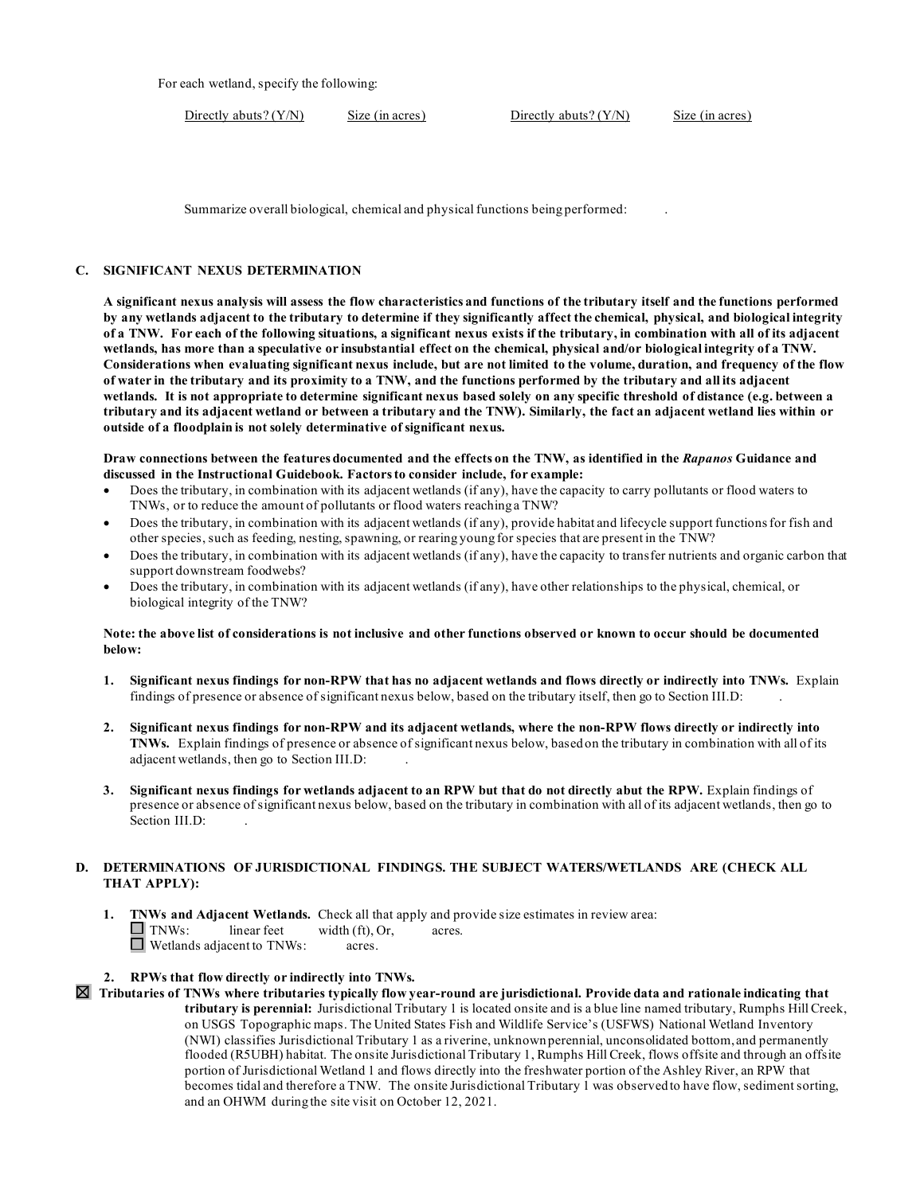For each wetland, specify the following:

Directly abuts? (Y/N) Size (in acres) Directly abuts? (Y/N) Size (in acres)

Summarize overall biological, chemical and physical functions being performed: .

#### **C. SIGNIFICANT NEXUS DETERMINATION**

 **A significant nexus analysis will assess the flow characteristics and functions of the tributary itself and the functions performed by any wetlands adjacent to the tributary to determine if they significantly affect the chemical, physical, and biological integrity of a TNW. For each of the following situations, a significant nexus exists if the tributary, in combination with all of its adjacent wetlands, has more than a speculative or insubstantial effect on the chemical, physical and/or biological integrity of a TNW. Considerations when evaluating significant nexus include, but are not limited to the volume, duration, and frequency of the flow of water in the tributary and its proximity to a TNW, and the functions performed by the tributary and all its adjacent wetlands. It is not appropriate to determine significant nexus based solely on any specific threshold of distance (e.g. between a tributary and its adjacent wetland or between a tributary and the TNW). Similarly, the fact an adjacent wetland lies within or outside of a floodplain is not solely determinative of significant nexus.** 

 **discussed in the Instructional Guidebook. Factors to consider include, for example: Draw connections between the features documented and the effects on the TNW, as identified in the** *Rapanos* **Guidance and** 

- TNWs, or to reduce the amount of pollutants or flood waters reaching a TNW? • Does the tributary, in combination with its adjacent wetlands (if any), have the capacity to carry pollutants or flood waters to
- other species, such as feeding, nesting, spawning, or rearing young for species that are present in the TNW? • Does the tributary, in combination with its adjacent wetlands (if any), provide habitat and lifecycle support functions for fish and
- Does the tributary, in combination with its adjacent wetlands (if any), have the capacity to transfer nutrients and organic carbon that support downstream foodwebs?
- biological integrity of the TNW? • Does the tributary, in combination with its adjacent wetlands (if any), have other relationships to the physical, chemical, or

#### **Note: the above list of considerations is not inclusive and other functions observed or known to occur should be documented below:**

- findings of presence or absence of significant nexus below, based on the tributary itself, then go to Section III.D: . **1. Significant nexus findings for non-RPW that has no adjacent wetlands and flows directly or indirectly into TNWs.** Explain
- **2. Significant nexus findings for non-RPW and its adjacent wetlands, where the non-RPW flows directly or indirectly into**  adjacent wetlands, then go to Section III.D: . **TNWs.** Explain findings of presence or absence of significant nexus below, based on the tributary in combination with all of its
- **3. Significant nexus findings for wetlands adjacent to an RPW but that do not directly abut the RPW.** Explain findings of presence or absence of significant nexus below, based on the tributary in combination with all of its adjacent wetlands, then go to Section III.D:

#### **D. DETERMINATIONS OF JURISDICTIONAL FINDINGS. THE SUBJECT WATERS/WETLANDS ARE (CHECK ALL THAT APPLY):**

 **1. TNWs and Adjacent Wetlands.** Check all that apply and provide size estimates in review area:  $\Box$  TNWs: linear feet width (ft), Or, acres. Wetlands adjacent to TNWs: acres.

#### **2. RPWs that flow directly or indirectly into TNWs.**

 **Tributaries of TNWs where tributaries typically flow year-round are jurisdictional. Provide data and rationale indicating that tributary is perennial:** Jurisdictional Tributary 1 is located onsite and is a blue line named tributary, Rumphs Hill Creek, on USGS Topographic maps. The United States Fish and Wildlife Service's (USFWS) National Wetland Inventory (NWI) classifies Jurisdictional Tributary 1 as a riverine, unknown perennial, unconsolidated bottom, and permanently becomes tidal and therefore a TNW. The onsite Jurisdictional Tributary 1 was observed to have flow, sediment sorting, and an OHWM during the site visit on October 12, 2021. flooded (R5UBH) habitat. The onsite Jurisdictional Tributary 1, Rumphs Hill Creek, flows offsite and through an offsite portion of Jurisdictional Wetland 1 and flows directly into the freshwater portion of the Ashley River, an RPW that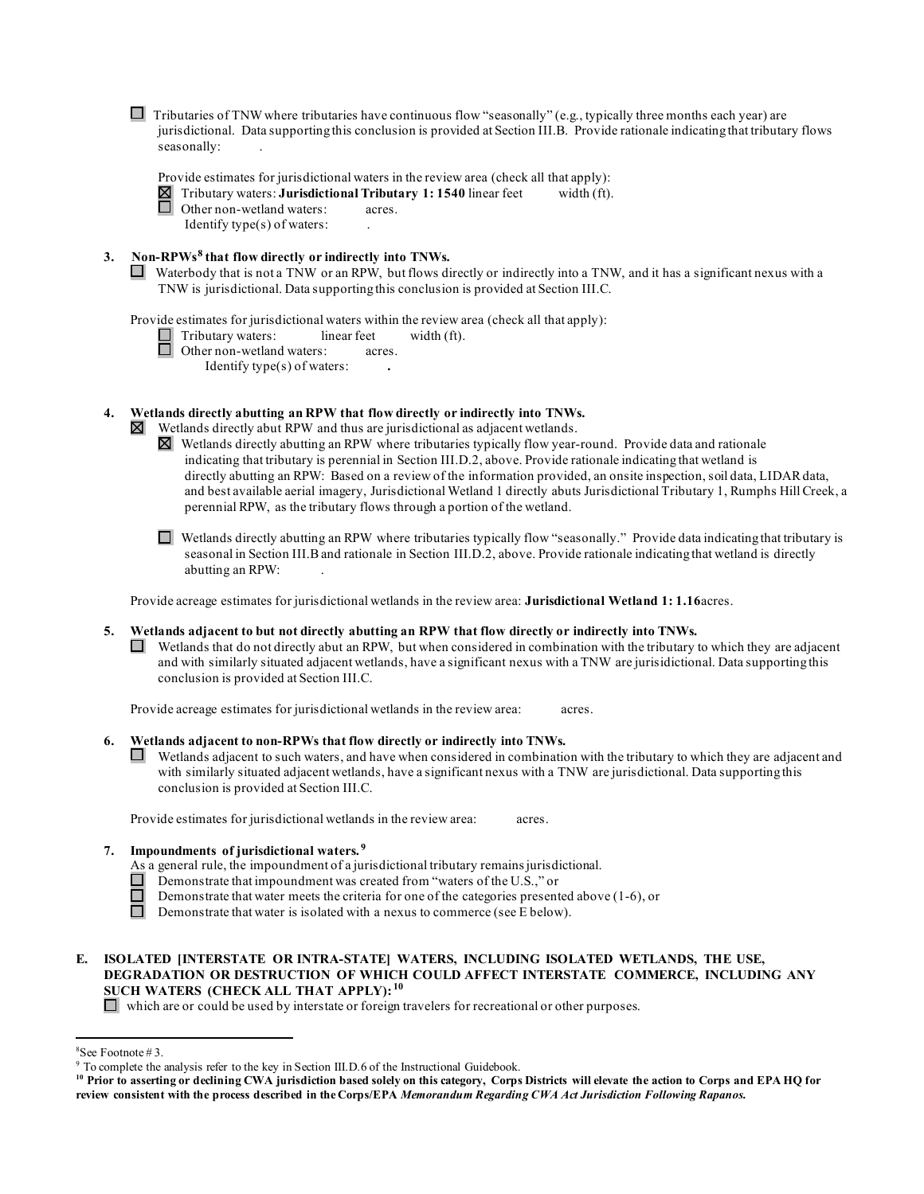□ Tributaries of TNW where tributaries have continuous flow "seasonally" (e.g., typically three months each year) are jurisdictional. Data supporting this conclusion is provided at Section III.B. Provide rationale indicating that tributary flows seasonally: .

~ Tributary waters: **Jurisdictional Tributary 1: 1540** linear feet width (ft). □ Provide estimates for jurisdictional waters in the review area (check all that apply): Other non-wetland waters: acres.

Identify type(s) of waters: .

- **3. Non-RPWs[8](#page-5-0) that flow directly or indirectly into TNWs.** 
	- □ Waterbody that is not a TNW or an RPW, but flows directly or indirectly into a TNW, and it has a significant nexus with a TNW is jurisdictional. Data supporting this conclusion is provided at Section III.C.

Provide estimates for jurisdictional waters within the review area (check all that apply):

Tributary waters: linear feet width (ft).

□ Other non-wetland waters: acres.

Identify type(s) of waters: **.** 

#### **4. Wetlands directly abutting an RPW that flow directly or indirectly into TNWs.**

⊠ Wetlands directly abut RPW and thus are jurisdictional as adjacent wetlands.

perennial RPW, as the tributary flows through a portion of the wetland.  $\boxtimes$  Wetlands directly abutting an RPW where tributaries typically flow year-round. Provide data and rationale indicating that tributary is perennial in Section III.D.2, above. Provide rationale indicating that wetland is directly abutting an RPW: Based on a review of the information provided, an onsite inspection, soil data, LIDAR data, and best available aerial imagery, Jurisdictional Wetland 1 directly abuts Jurisdictional Tributary 1, Rumphs Hill Creek, a

 seasonal in Section III.B and rationale in Section III.D.2, above. Provide rationale indicating that wetland is directly perennial RPW, as the tributary flows through a portion of the wetland.<br> $\Box$  Wetlands directly abutting an RPW where tributaries typically flow "seasonally." Provide data indicating that tributary is abutting an RPW: .

Provide acreage estimates for jurisdictional wetlands in the review area: **Jurisdictional Wetland 1: 1.16**acres.

#### **5. Wetlands adjacent to but not directly abutting an RPW that flow directly or indirectly into TNWs.**

 $\Box$  Wetlands that do not directly abut an RPW, but when considered in combination with the tributary to which they are adjacent and with similarly situated adjacent wetlands, have a significant nexus with a TNW are jurisidictional. Data supporting this conclusion is provided at Section III.C.

Provide acreage estimates for jurisdictional wetlands in the review area: acres.

#### **6. Wetlands adjacent to non-RPWs that flow directly or indirectly into TNWs.**

□ Wetlands adjacent to such waters, and have when considered in combination with the tributary to which they are adjacent and with similarly situated adjacent wetlands, have a significant nexus with a TNW are jurisdictional. Data supporting this conclusion is provided at Section III.C.

Provide estimates for jurisdictional wetlands in the review area: acres.

#### **7. Impoundments of jurisdictional waters. [9](#page-5-1)**

- As a general rule, the impoundment of a jurisdictional tributary remains jurisdictional.
- □ Demonstrate that impoundment was created from "waters of the U.S.," or
- Demonstrate that water meets the criteria for one of the categories presented above (1-6), or
- □ Demonstrate that water is isolated with a nexus to commerce (see E below).

#### **E. ISOLATED [INTERSTATE OR INTRA-STATE] WATERS, INCLUDING ISOLATED WETLANDS, THE USE, DEGRADATION OR DESTRUCTION OF WHICH COULD AFFECT INTERSTATE COMMERCE, INCLUDING ANY SUCH WATERS (CHECK ALL THAT APPLY): [10](#page-5-2)**

which are or could be used by interstate or foreign travelers for recreational or other purposes.

<sup>&</sup>lt;sup>8</sup>See Footnote #3.

<span id="page-5-1"></span><span id="page-5-0"></span> $^8$ See Footnote # 3.<br>9 To complete the analysis refer to the key in Section III.D.6 of the Instructional Guidebook.

<span id="page-5-2"></span> **review consistent with the process described in the Corps/EPA** *Memorandum Regarding CWA Act Jurisdiction Following Rapanos.* **10 Prior to asserting or declining CWA jurisdiction based solely on this category, Corps Districts will elevate the action to Corps and EPA HQ for**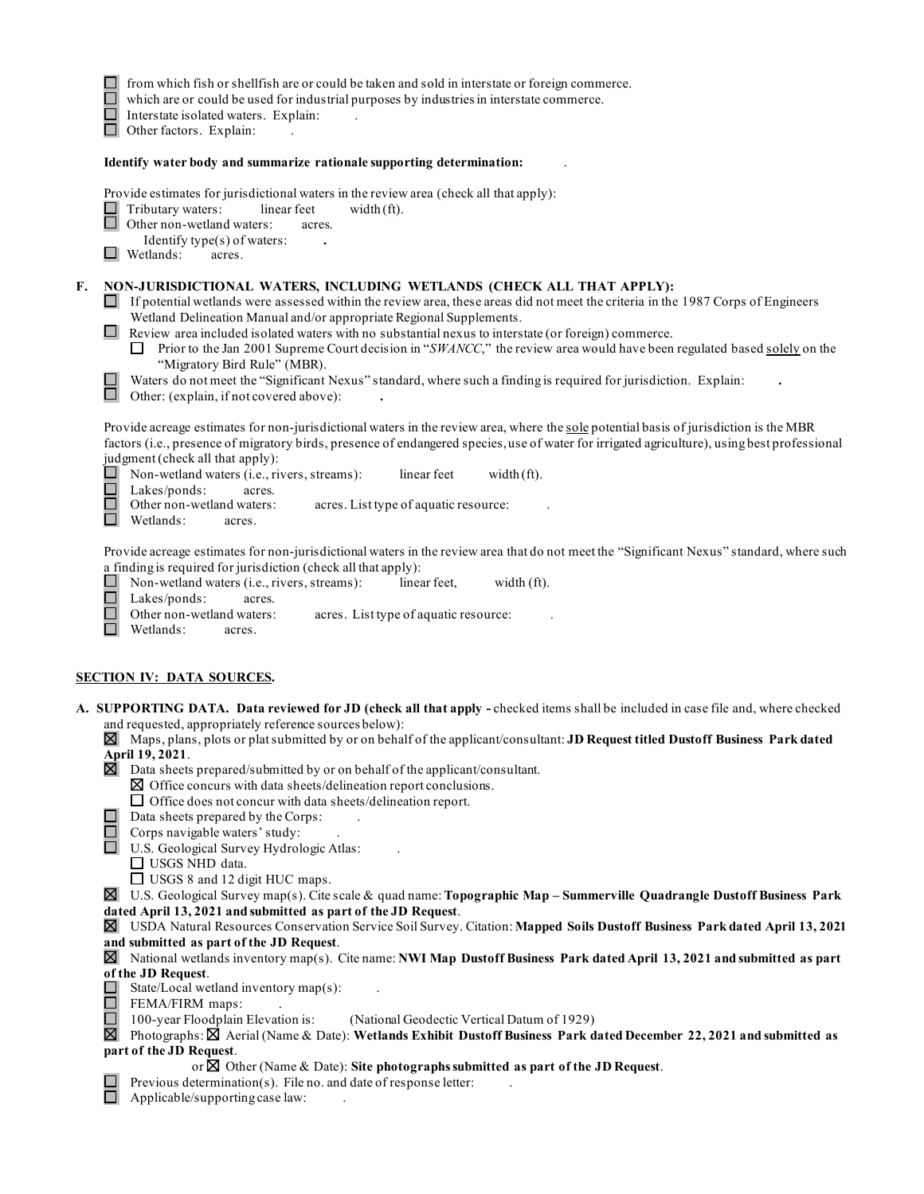|    | from which fish or shellfish are or could be taken and sold in interstate or foreign commerce.<br>which are or could be used for industrial purposes by industries in interstate commerce.<br>Interstate isolated waters. Explain:<br>Other factors. Explain:                                                                                                                                                                                                                                                                                                                                                                                                                                                                          |
|----|----------------------------------------------------------------------------------------------------------------------------------------------------------------------------------------------------------------------------------------------------------------------------------------------------------------------------------------------------------------------------------------------------------------------------------------------------------------------------------------------------------------------------------------------------------------------------------------------------------------------------------------------------------------------------------------------------------------------------------------|
|    | Identify water body and summarize rationale supporting determination:                                                                                                                                                                                                                                                                                                                                                                                                                                                                                                                                                                                                                                                                  |
|    | Provide estimates for jurisdictional waters in the review area (check all that apply):<br>Tributary waters:<br>linear feet<br>width $(ft)$ .<br>Other non-wetland waters:<br>acres.<br>Identify type(s) of waters:<br>$\Box$ Wetlands:<br>acres.                                                                                                                                                                                                                                                                                                                                                                                                                                                                                       |
| F. | NON-JURISDICTIONAL WATERS, INCLUDING WETLANDS (CHECK ALL THAT APPLY):<br>$\Box$ If potential wetlands were assessed within the review area, these areas did not meet the criteria in the 1987 Corps of Engineers<br>Wetland Delineation Manual and/or appropriate Regional Supplements.<br>$\Box$ Review area included isolated waters with no substantial nexus to interstate (or foreign) commerce.<br>$\Box$ Prior to the Jan 2001 Supreme Court decision in "SWANCC," the review area would have been regulated based solely on the<br>"Migratory Bird Rule" (MBR).<br>Waters do not meet the "Significant Nexus" standard, where such a finding is required for jurisdiction. Explain:<br>Other: (explain, if not covered above): |
|    | Provide acreage estimates for non-jurisdictional waters in the review area, where the sole potential basis of jurisdiction is the MBR<br>factors (i.e., presence of migratory birds, presence of endangered species, use of water for irrigated agriculture), using best professional<br>judgment (check all that apply):<br>Non-wetland waters (i.e., rivers, streams):<br>linear feet<br>width $(ft)$ .<br>Lakes/ponds:<br>acres.<br>Other non-wetland waters:<br>acres. List type of aquatic resource:<br>Wetlands:<br>acres.                                                                                                                                                                                                       |
|    | Provide acreage estimates for non-jurisdictional waters in the review area that do not meet the "Significant Nexus" standard, where such<br>a finding is required for jurisdiction (check all that apply):<br>Non-wetland waters (i.e., rivers, streams):<br>linear feet,<br>width (ft).<br>Lakes/ponds:<br>$\Box$<br>acres.<br>Other non-wetland waters:<br>acres. List type of aquatic resource:<br>Wetlands:<br>acres.                                                                                                                                                                                                                                                                                                              |
|    | <b>SECTION IV: DATA SOURCES.</b>                                                                                                                                                                                                                                                                                                                                                                                                                                                                                                                                                                                                                                                                                                       |
|    | A. SUPPORTING DATA. Data reviewed for JD (check all that apply - checked items shall be included in case file and, where checked<br>and requested, appropriately reference sources below):<br>$\boxtimes$ Maps, plans, plots or plat submitted by or on behalf of the applicant/consultant: JD Request titled Dustoff Business Park dated<br>April 19, 2021.<br>$\boxtimes$ Data sheets prepared/submitted by or on behalf of the applicant/consultant.<br>$\boxtimes$ Office concurs with data sheets/delineation report conclusions.                                                                                                                                                                                                 |
|    | $\Box$ Office does not concur with data sheets/delineation report.<br>Data sheets prepared by the Corps:<br>Corps navigable waters' study:<br>U.S. Geological Survey Hydrologic Atlas:<br>$\Box$ USGS NHD data.<br>$\Box$ USGS 8 and 12 digit HUC maps.                                                                                                                                                                                                                                                                                                                                                                                                                                                                                |
|    | U.S. Geological Survey map(s). Cite scale & quad name: Topographic Map - Summerville Quadrangle Dustoff Business Park<br>⊠<br>dated April 13, 2021 and submitted as part of the JD Request.<br>⊠ USDA Natural Resources Conservation Service Soil Survey. Citation: Mapped Soils Dustoff Business Park dated April 13, 2021<br>and submitted as part of the JD Request.                                                                                                                                                                                                                                                                                                                                                                |
|    | $\boxtimes$ National wetlands inventory map(s). Cite name: NWI Map Dustoff Business Park dated April 13, 2021 and submitted as part<br>of the JD Request.<br>State/Local wetland inventory map(s):<br>FEMA/FIRM maps:<br>100-year Floodplain Elevation is:<br>$\overline{\phantom{a}}$<br>(National Geodectic Vertical Datum of 1929)<br>区<br>Photographs: $\boxtimes$ Aerial (Name & Date): Wetlands Exhibit Dustoff Business Park dated December 22, 2021 and submitted as                                                                                                                                                                                                                                                           |
|    | part of the JD Request.<br>or $\boxtimes$ Other (Name & Date): Site photographs submitted as part of the JD Request.                                                                                                                                                                                                                                                                                                                                                                                                                                                                                                                                                                                                                   |
|    | Previous determination(s). File no. and date of response letter:<br>Applicable/supporting case law:                                                                                                                                                                                                                                                                                                                                                                                                                                                                                                                                                                                                                                    |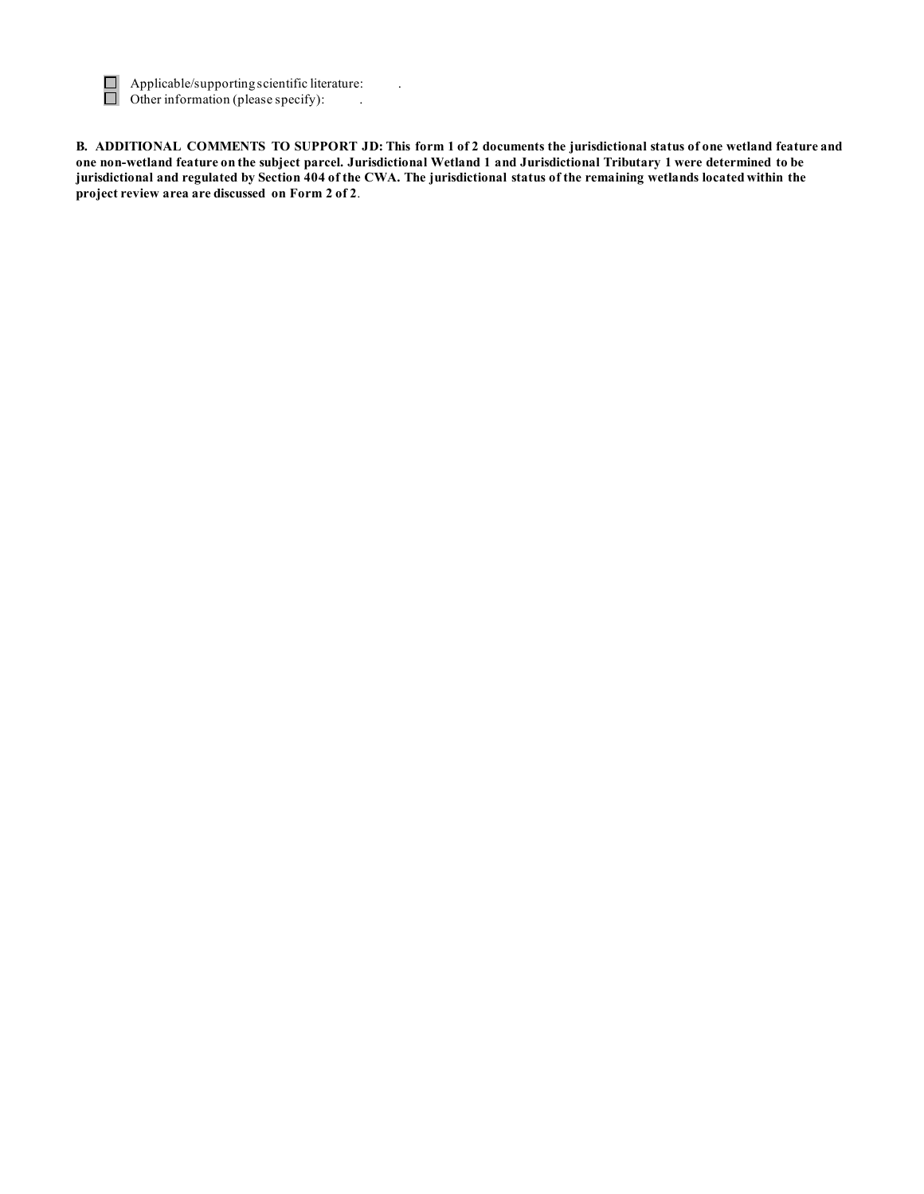

Applicable/supporting scientific literature:<br>Other information (please specify):

 **B. ADDITIONAL COMMENTS TO SUPPORT JD: This form 1 of 2 documents the jurisdictional status of one wetland feature and one non-wetland feature on the subject parcel. Jurisdictional Wetland 1 and Jurisdictional Tributary 1 were determined to be jurisdictional and regulated by Section 404 of the CWA. The jurisdictional status of the remaining wetlands located within the project review area are discussed on Form 2 of 2**.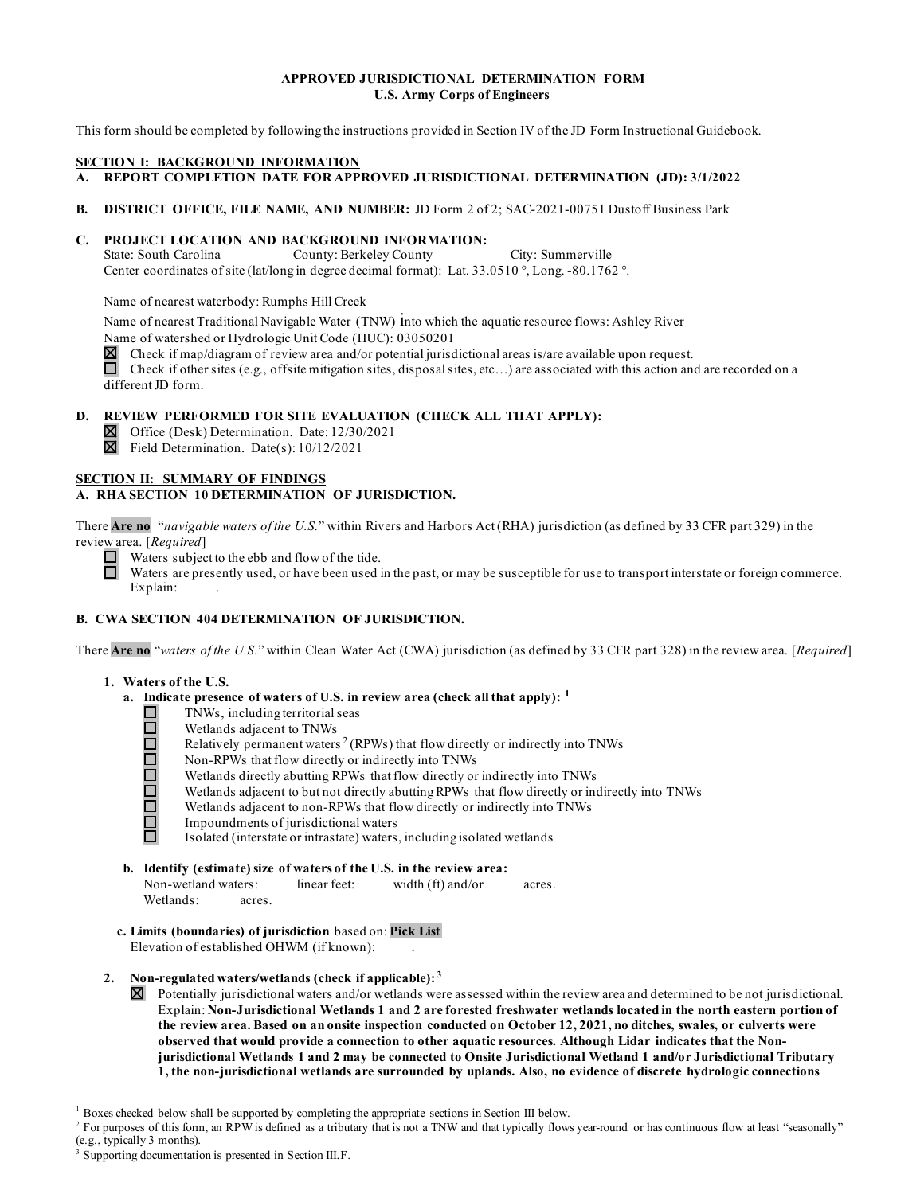#### **APPROVED JURISDICTIONAL DETERMINATION FORM U.S. Army Corps of Engineers**

This form should be completed by following the instructions provided in Section IV of the JD Form Instructional Guidebook.

#### **SECTION I: BACKGROUND INFORMATION**

- **A. REPORT COMPLETION DATE FOR APPROVED JURISDICTIONAL DETERMINATION (JD): 3/1/2022**
- **B. DISTRICT OFFICE, FILE NAME, AND NUMBER:** JD Form 2 of 2; SAC-2021-00751 Dustoff Business Park

#### **C. PROJECT LOCATION AND BACKGROUND INFORMATION:**

State: South Carolina Center coordinates of site (lat/long in degree decimal format): Lat. 33.0510 °, Long. -80.1762 °. County: Berkeley County City: Summerville

Name of nearest waterbody: Rumphs Hill Creek

 Name of nearest Traditional Navigable Water (TNW) into which the aquatic resource flows: Ashley River Name of watershed or Hydrologic Unit Code (HUC): 03050201

 $\boxtimes$  Check if map/diagram of review area and/or potential jurisdictional areas is/are available upon request.

 Check if other sites (e.g., offsite mitigation sites, disposal sites, etc…) are associated with this action and are recorded on a different JD form.

#### **D. REVIEW PERFORMED FOR SITE EVALUATION (CHECK ALL THAT APPLY):**

Office (Desk) Determination. Date: 12/30/2021

Field Determination. Date(s): 10/12/2021

#### **A. RHA SECTION 10 DETERMINATION OF JURISDICTION.**

 There **Are no** "*navigable waters of the U.S.*" within Rivers and Harbors Act (RHA) jurisdiction (as defined by 33 CFR part 329) in the review area. [Required] **SECTION II: SUMMARY OF FINDINGS**<br> **A. RHA SECTION 10 DETERMINATION**<br>
There **Are no** "*navigable waters of the U.S.*"<br>
review area. [*Required*]<br>
Waters subject to the ebb and flow only waters are presently used, or have b

review area. [*Required*]<br>
Waters subject to the ebb and flow of the tide.

 Waters are presently used, or have been used in the past, or may be susceptible for use to transport interstate or foreign commerce. □ Explain:

# **B. CWA SECTION 404 DETERMINATION OF JURISDICTION.** VA SE<br>Are no<br>. Wat<br>a. 1

There **Are no** "*waters of the U.S.*" within Clean Water Act (CWA) jurisdiction (as defined by 33 CFR part 328) in the review area. [*Required*]

#### **1. Waters of the U.S.**

- **a. Indicate presence of waters of U.S. in review area (check all that apply): [1](#page-8-0)** 
	- □ TNWs, including territorial seas
		- Wetlands adjacent to TNWs
	- □ Relatively permanent waters  $2$  (RPWs) that flow directly or indirectly into TNWs
	- B Non-RPWs that flow directly or indirectly into TNWs
		- Wetlands directly abutting RPWs that flow directly or indirectly into TNWs
	- i<br>B Wetlands adjacent to but not directly abutting RPWs that flow directly or indirectly into TNWs
	- □ Wetlands adjacent to non-RPWs that flow directly or indirectly into TNWs
	- □ Impoundments of jurisdictional waters

□ Isolated (interstate or intrastate) waters, including isolated wetlands

**b. Identify (estimate) size of waters of the U.S. in the review area:** 

Non-wetland waters: linear feet: width (ft) and/or acres. Wetlands: acres.

**c. Limits (boundaries) of jurisdiction** based on: **Pick List**  Elevation of established OHWM (if known): .

#### **2. Non-regulated waters/wetlands (check if applicable): [3](#page-8-2)**

 Explain: **Non-Jurisdictional Wetlands 1 and 2 are forested freshwater wetlands located in the north eastern portion of the review area. Based on an onsite inspection conducted on October 12, 2021, no ditches, swales, or culverts were observed that would provide a connection to other aquatic resources. Although Lidar indicates that the Non- jurisdictional Wetlands 1 and 2 may be connected to Onsite Jurisdictional Wetland 1 and/or Jurisdictional Tributary 1, the non-jurisdictional wetlands are surrounded by uplands. Also, no evidence of discrete hydrologic connections**  Potentially jurisdictional waters and/or wetlands were assessed within the review area and determined to be not jurisdictional.

<sup>1</sup> Boxes checked below shall be supported by completing the appropriate sections in Section III below.

<span id="page-8-1"></span><span id="page-8-0"></span><sup>&</sup>lt;sup>2</sup> For purposes of this form, an RPW is defined as a tributary that is not a TNW and that typically flows year-round or has continuous flow at least "seasonally" (e.g., typically 3 months).  $3$  Supporting documentation is presented in Section III.F.

<span id="page-8-2"></span>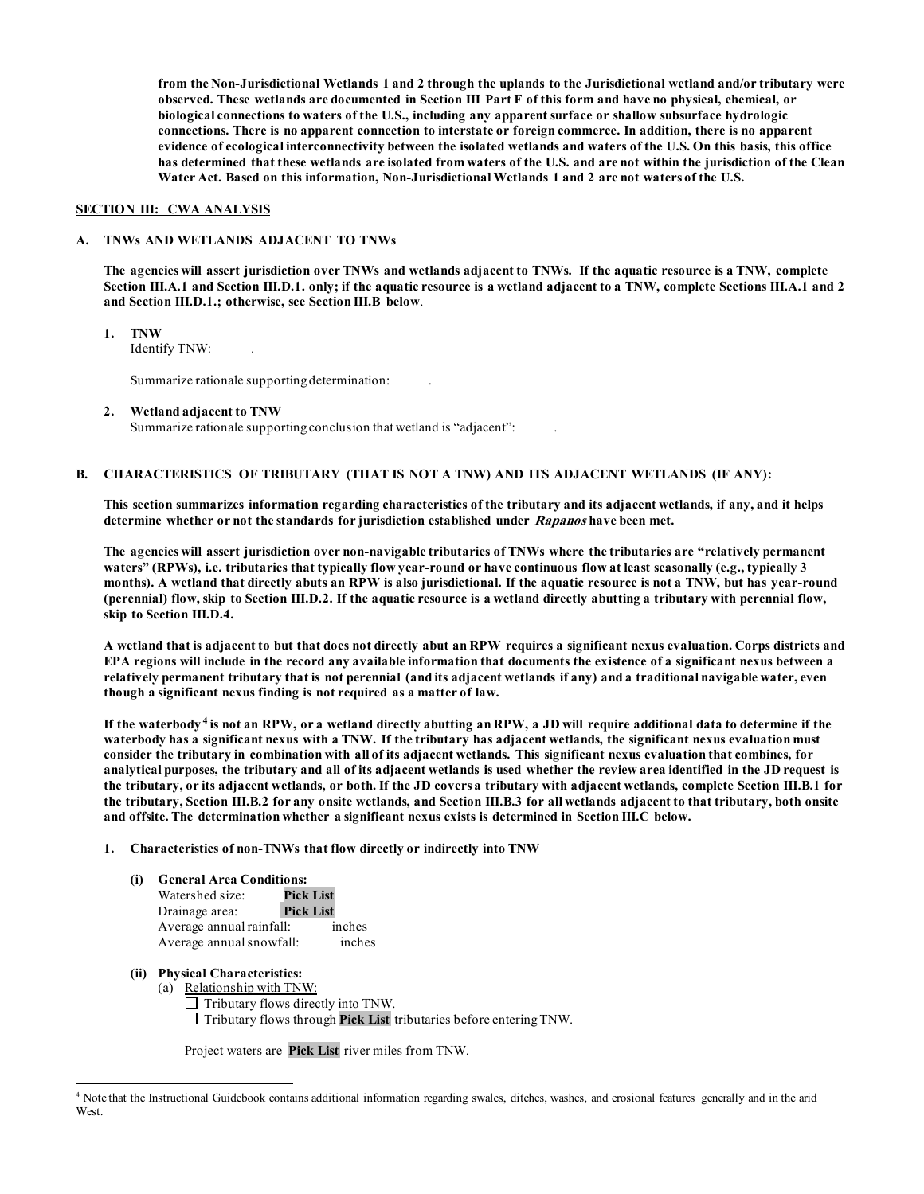**from the Non-Jurisdictional Wetlands 1 and 2 through the uplands to the Jurisdictional wetland and/or tributary were observed. These wetlands are documented in Section III Part F of this form and have no physical, chemical, or biological connections to waters of the U.S., including any apparent surface or shallow subsurface hydrologic connections. There is no apparent connection to interstate or foreign commerce. In addition, there is no apparent evidence of ecological interconnectivity between the isolated wetlands and waters of the U.S. On this basis, this office has determined that these wetlands are isolated from waters of the U.S. and are not within the jurisdiction of the Clean Water Act. Based on this information, Non-Jurisdictional Wetlands 1 and 2 are not waters of the U.S.** 

#### **SECTION III: CWA ANALYSIS**

#### **A. TNWs AND WETLANDS ADJACENT TO TNWs**

 **The agencies will assert jurisdiction over TNWs and wetlands adjacent to TNWs. If the aquatic resource is a TNW, complete Section III.A.1 and Section III.D.1. only; if the aquatic resource is a wetland adjacent to a TNW, complete Sections III.A.1 and 2 and Section III.D.1.; otherwise, see Section III.B below**.

- **1. TNW** 
	- Identify TNW: .

Summarize rationale supporting determination:

**2. Wetland adjacent to TNW** 

Summarize rationale supporting conclusion that wetland is "adjacent": .

#### **B. CHARACTERISTICS OF TRIBUTARY (THAT IS NOT A TNW) AND ITS ADJACENT WETLANDS (IF ANY):**

 **This section summarizes information regarding characteristics of the tributary and its adjacent wetlands, if any, and it helps determine whether or not the standards for jurisdiction established under Rapanos have been met.** 

 **The agencies will assert jurisdiction over non-navigable tributaries of TNWs where the tributaries are "relatively permanent waters" (RPWs), i.e. tributaries that typically flow year-round or have continuous flow at least seasonally (e.g., typically 3 (perennial) flow, skip to Section III.D.2. If the aquatic resource is a wetland directly abutting a tributary with perennial flow,**  skip to Section III.D.4. **months). A wetland that directly abuts an RPW is also jurisdictional. If the aquatic resource is not a TNW, but has year-round** 

skip to Section III.D.4.<br>A wetland that is adjacent to but that does not directly abut an RPW requires a significant nexus evaluation. Corps districts and  **EPA regions will include in the record any available information that documents the existence of a significant nexus between a relatively permanent tributary that is not perennial (and its adjacent wetlands if any) and a traditional navigable water, even though a significant nexus finding is not required as a matter of law.** 

 **If the waterbody [4](#page-9-0) is not an RPW, or a wetland directly abutting an RPW, a JD will require additional data to determine if the waterbody has a significant nexus with a TNW. If the tributary has adjacent wetlands, the significant nexus evaluation must consider the tributary in combination with all of its adjacent wetlands. This significant nexus evaluation that combines, for analytical purposes, the tributary and all of its adjacent wetlands is used whether the review area identified in the JD request is the tributary, or its adjacent wetlands, or both. If the JD covers a tributary with adjacent wetlands, complete Section III.B.1 for the tributary, Section III.B.2 for any onsite wetlands, and Section III.B.3 for all wetlands adjacent to that tributary, both onsite and offsite. The determination whether a significant nexus exists is determined in Section III.C below.** 

#### **1. Characteristics of non-TNWs that flow directly or indirectly into TNW**

#### **(i) General Area Conditions:**

| Watershed size:          | <b>Pick List</b> |        |
|--------------------------|------------------|--------|
| Drainage area:           | <b>Pick List</b> |        |
| Average annual rainfall: |                  | inches |
| Average annual snowfall: |                  | inches |

#### **(ii) Physical Characteristics:**

- (a) Relationship with TNW:
	- $\Box$  Tributary flows directly into TNW.
	- □ Tributary flows through **Pick List** tributaries before entering TNW.

Project waters are **Pick List** river miles from TNW.

<span id="page-9-0"></span><sup>4</sup> Note that the Instructional Guidebook contains additional information regarding swales, ditches, washes, and erosional features generally and in the arid West.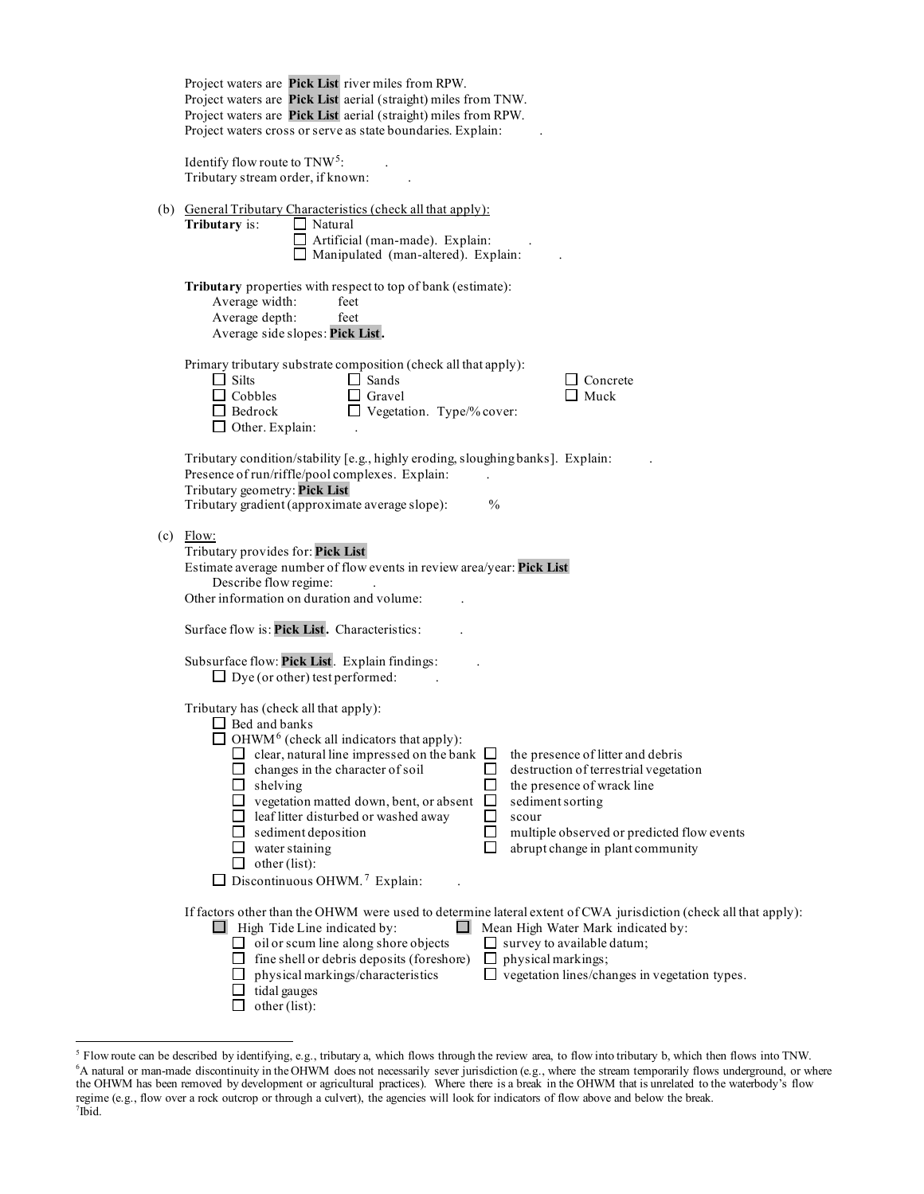| Project waters are Pick List river miles from RPW.<br>Project waters are Pick List aerial (straight) miles from TNW.<br>Project waters are Pick List aerial (straight) miles from RPW.<br>Project waters cross or serve as state boundaries. Explain:                                                                                                                                                                                                                                                                                                                                                                                                                                                                    |  |  |  |  |  |
|--------------------------------------------------------------------------------------------------------------------------------------------------------------------------------------------------------------------------------------------------------------------------------------------------------------------------------------------------------------------------------------------------------------------------------------------------------------------------------------------------------------------------------------------------------------------------------------------------------------------------------------------------------------------------------------------------------------------------|--|--|--|--|--|
| Identify flow route to $TNW5$ :<br>Tributary stream order, if known:                                                                                                                                                                                                                                                                                                                                                                                                                                                                                                                                                                                                                                                     |  |  |  |  |  |
| (b) General Tributary Characteristics (check all that apply):<br>$\Box$ Natural<br>Tributary is:<br>$\Box$ Artificial (man-made). Explain:<br>$\Box$ Manipulated (man-altered). Explain:                                                                                                                                                                                                                                                                                                                                                                                                                                                                                                                                 |  |  |  |  |  |
| Tributary properties with respect to top of bank (estimate):<br>Average width:<br>feet<br>Average depth:<br>feet<br>Average side slopes: Pick List.                                                                                                                                                                                                                                                                                                                                                                                                                                                                                                                                                                      |  |  |  |  |  |
| Primary tributary substrate composition (check all that apply):<br>$\Box$ Silts<br>$\Box$ Sands<br>$\Box$ Concrete<br>$\Box$ Cobbles<br>$\Box$ Gravel<br>$\Box$ Muck<br>$\Box$ Vegetation. Type/% cover:<br>$\Box$ Bedrock<br>$\Box$ Other. Explain:                                                                                                                                                                                                                                                                                                                                                                                                                                                                     |  |  |  |  |  |
| Tributary condition/stability [e.g., highly eroding, sloughing banks]. Explain:<br>Presence of run/riffle/pool complexes. Explain:<br>Tributary geometry: Pick List<br>Tributary gradient (approximate average slope):<br>$\frac{0}{0}$                                                                                                                                                                                                                                                                                                                                                                                                                                                                                  |  |  |  |  |  |
| $(c)$ Flow:<br>Tributary provides for: Pick List<br>Estimate average number of flow events in review area/year: Pick List<br>Describe flow regime:<br>Other information on duration and volume:                                                                                                                                                                                                                                                                                                                                                                                                                                                                                                                          |  |  |  |  |  |
| Surface flow is: Pick List. Characteristics:                                                                                                                                                                                                                                                                                                                                                                                                                                                                                                                                                                                                                                                                             |  |  |  |  |  |
| Subsurface flow: Pick List. Explain findings:<br>$\Box$ Dye (or other) test performed:                                                                                                                                                                                                                                                                                                                                                                                                                                                                                                                                                                                                                                   |  |  |  |  |  |
| Tributary has (check all that apply):<br>$\Box$ Bed and banks<br>$\Box$ OHWM <sup>6</sup> (check all indicators that apply):<br>the presence of litter and debris<br>clear, natural line impressed on the bank $\Box$<br>changes in the character of soil<br>destruction of terrestrial vegetation<br>shelving<br>the presence of wrack line<br>$\Box$<br>vegetation matted down, bent, or absent<br>sediment sorting<br>ப<br>$\Box$<br>leaf litter disturbed or washed away<br>scour<br>sediment deposition<br>multiple observed or predicted flow events<br>ப<br>$\Box$<br>abrupt change in plant community<br>$\Box$<br>water staining<br>other (list):<br>$\Box$<br>$\Box$ Discontinuous OHWM. <sup>7</sup> Explain: |  |  |  |  |  |
| If factors other than the OHWM were used to determine lateral extent of CWA jurisdiction (check all that apply):<br>$\Box$ High Tide Line indicated by:<br>Mean High Water Mark indicated by:<br>$\Box$<br>$\Box$ oil or scum line along shore objects<br>$\Box$ survey to available datum;<br>fine shell or debris deposits (foreshore)<br>physical markings;<br>ப<br>vegetation lines/changes in vegetation types.<br>physical markings/characteristics<br>ப<br>tidal gauges<br>other (list):                                                                                                                                                                                                                          |  |  |  |  |  |

<span id="page-10-2"></span><span id="page-10-1"></span><span id="page-10-0"></span> $\ddot{\phantom{0}}$ <sup>5</sup> Flow route can be described by identifying, e.g., tributary a, which flows through the review area, to flow into tributary b, which then flows into TNW.<br><sup>6</sup>A natural or man-made discontinuity in the OHWM does not neces the OHWM has been removed by development or agricultural practices). Where there is a break in the OHWM that is unrelated to the waterbody's flow regime (e.g., flow over a rock outcrop or through a culvert), the agencies will look for indicators of flow above and below the break. 7  $7$ Ibid.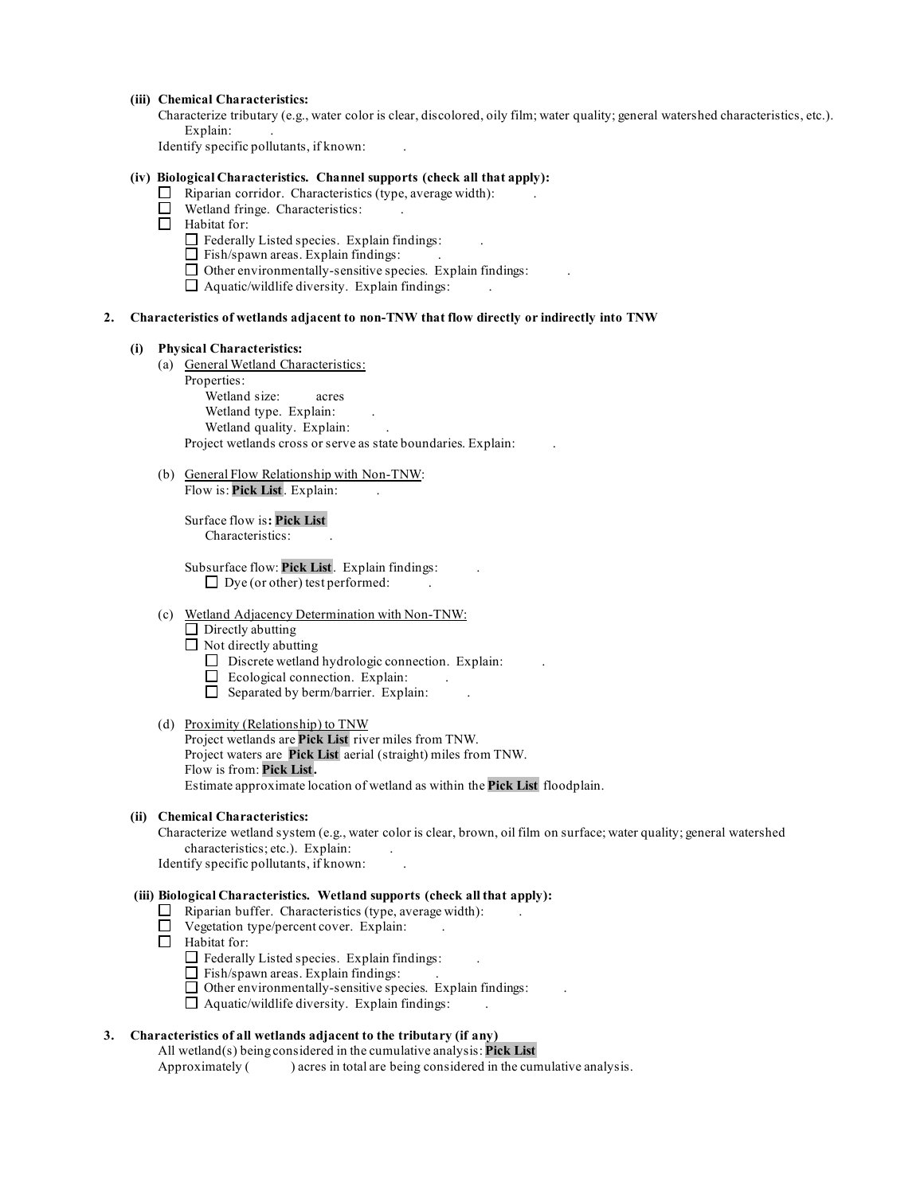#### **(iii) Chemical Characteristics:**

 Characterize tributary (e.g., water color is clear, discolored, oily film; water quality; general watershed characteristics, etc.). Explain: .

Identify specific pollutants, if known: .

#### **(iv) Biological Characteristics. Channel supports (check all that apply):**

- $\Box$  Riparian corridor. Characteristics (type, average width):
- □ Wetland fringe. Characteristics: .
- □ Habitat for:
	- 는 :  $\Box$  Federally Listed species. Explain findings:
		- $\Box$  Fish/spawn areas. Explain findings:
	- $\Box$  Other environmentally-sensitive species. Explain findings:
	- $\Box$  Aquatic/wildlife diversity. Explain findings:  $\Box$ .

#### **2. Characteristics of wetlands adjacent to non-TNW that flow directly or indirectly into TNW**

#### **(i) Physical Characteristics:**

(a) General Wetland Characteristics:

Properties: Wetland size: acres Wetland type. Explain: Wetland quality. Explain: Project wetlands cross or serve as state boundaries. Explain: .

(b) General Flow Relationship with Non-TNW: Flow is: Pick List. Explain:

Surface flow is**: Pick List**  Characteristics: .

 $\Box$  Dye (or other) test performed:  $\Box$ Subsurface flow: **Pick List** . Explain findings: .

## (c) Wetland Adjacency Determination with Non-TNW:

ᆸ .  $\Box$  Directly abutting

 $\Box$  Not directly abutting

- $\Box$  Discrete wetland hydrologic connection. Explain:
- $\Box$  Ecological connection. Explain:  $\Box$
- $\Box$  Separated by berm/barrier. Explain: .

#### (d) Proximity (Relationship) to TNW

Project wetlands are **Pick List** river miles from TNW. Project waters are **Pick List** aerial (straight) miles from TNW. Flow is from: **Pick List .**  Estimate approximate location of wetland as within the **Pick List** floodplain.

#### **(ii) Chemical Characteristics:**

 Characterize wetland system (e.g., water color is clear, brown, oil film on surface; water quality; general watershed characteristics; etc.). Explain: .

Identify specific pollutants, if known: .

#### **(iii) Biological Characteristics. Wetland supports (check all that apply):**

- $\Box$  Riparian buffer. Characteristics (type, average width):  $\Box$ .
- $\Box$  Vegetation type/percent cover. Explain: .
- □ Habitat for:
	- $\Box$  Federally Listed species. Explain findings:  $\Box$
	- 出り  $\Box$  Fish/spawn areas. Explain findings:
	- $\Box$  Other environmentally-sensitive species. Explain findings:  $\Box$ .
	- $\Box$  Aquatic/wildlife diversity. Explain findings:  $\Box$ .

#### **3. Characteristics of all wetlands adjacent to the tributary (if any)**

All wetland(s) being considered in the cumulative analysis: **Pick List** 

Approximately ( ) acres in total are being considered in the cumulative analysis.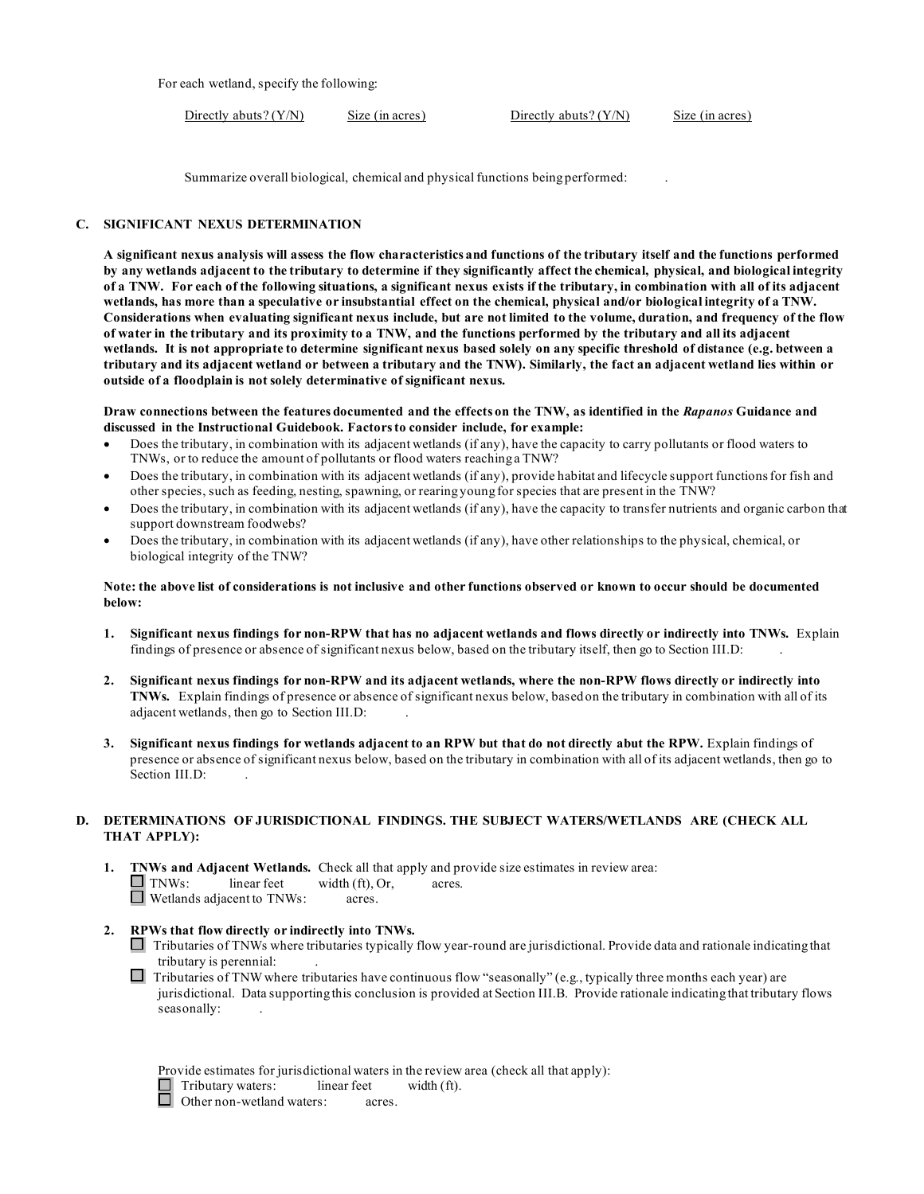For each wetland, specify the following:

Directly abuts? (Y/N) Size (in acres) Directly abuts? (Y/N) Size (in acres)

Summarize overall biological, chemical and physical functions being performed: .

#### **C. SIGNIFICANT NEXUS DETERMINATION**

 **A significant nexus analysis will assess the flow characteristics and functions of the tributary itself and the functions performed by any wetlands adjacent to the tributary to determine if they significantly affect the chemical, physical, and biological integrity of a TNW. For each of the following situations, a significant nexus exists if the tributary, in combination with all of its adjacent wetlands, has more than a speculative or insubstantial effect on the chemical, physical and/or biological integrity of a TNW. Considerations when evaluating significant nexus include, but are not limited to the volume, duration, and frequency of the flow of water in the tributary and its proximity to a TNW, and the functions performed by the tributary and all its adjacent wetlands. It is not appropriate to determine significant nexus based solely on any specific threshold of distance (e.g. between a tributary and its adjacent wetland or between a tributary and the TNW). Similarly, the fact an adjacent wetland lies within or outside of a floodplain is not solely determinative of significant nexus.** 

#### **Draw connections between the features documented and the effects on the TNW, as identified in the** *Rapanos* **Guidance and discussed in the Instructional Guidebook. Factors to consider include, for example:**

- TNWs, or to reduce the amount of pollutants or flood waters reaching a TNW? • Does the tributary, in combination with its adjacent wetlands (if any), have the capacity to carry pollutants or flood waters to
- other species, such as feeding, nesting, spawning, or rearing young for species that are present in the TNW? • Does the tributary, in combination with its adjacent wetlands (if any), provide habitat and lifecycle support functions for fish and
- Does the tributary, in combination with its adjacent wetlands (if any), have the capacity to transfer nutrients and organic carbon that support downstream foodwebs?
- biological integrity of the TNW? • Does the tributary, in combination with its adjacent wetlands (if any), have other relationships to the physical, chemical, or

#### **Note: the above list of considerations is not inclusive and other functions observed or known to occur should be documented below:**

- findings of presence or absence of significant nexus below, based on the tributary itself, then go to Section III.D: . **1. Significant nexus findings for non-RPW that has no adjacent wetlands and flows directly or indirectly into TNWs.** Explain
- **2. Significant nexus findings for non-RPW and its adjacent wetlands, where the non-RPW flows directly or indirectly into TNWs.** Explain findings of presence or absence of significant nexus below, based on the tributary in combination with all of its adjacent wetlands, then go to Section III.D: .
- **3. Significant nexus findings for wetlands adjacent to an RPW but that do not directly abut the RPW.** Explain findings of presence or absence of significant nexus below, based on the tributary in combination with all of its adjacent wetlands, then go to Section III.D:

#### **D. DETERMINATIONS OF JURISDICTIONAL FINDINGS. THE SUBJECT WATERS/WETLANDS ARE (CHECK ALL THAT APPLY):**

- **1. TNWs and Adjacent Wetlands.** Check all that apply and provide size estimates in review area:  $\Box$  INWS: Inear reet width (it), C<br> $\Box$  Wetlands adjacent to TNWs: acres.  $\Box$  TNWs: linear feet width (ft), Or, acres.
- **2. RPWs that flow directly or indirectly into TNWs.** 
	- □ Tributaries of TNWs where tributaries typically flow year-round are jurisdictional. Provide data and rationale indicating that tributary is perennial: .
	- $\Box$  Tributaries of TNW where tributaries have continuous flow "seasonally" (e.g., typically three months each year) are jurisdictional. Data supporting this conclusion is provided at Section III.B. Provide rationale indicating that tributary flows seasonally: .

| Provide estimates for jurisdictional waters in the review area (check all that apply): |             |             |  |
|----------------------------------------------------------------------------------------|-------------|-------------|--|
| $\Box$ Tributary waters:                                                               | linear feet | width (ft). |  |
| <b>.</b>                                                                               |             |             |  |

□ Tributary waters: intear reet<br>□ Other non-wetland waters: acres.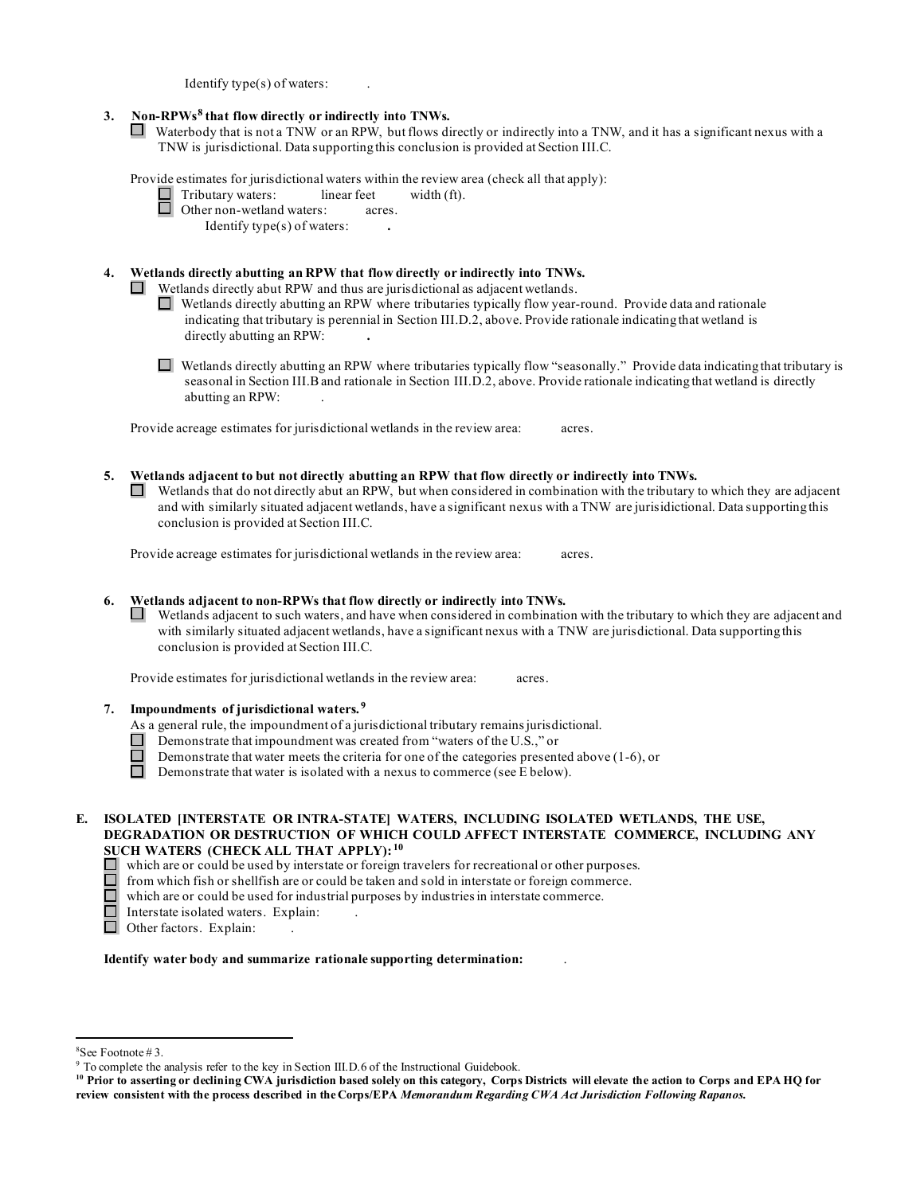Identify type(s) of waters: .

#### 3. **3. Non-RPWs[8](#page-13-0) that flow directly or indirectly into TNWs.**

Waterbody that is not a TNW or an RPW, but flows directly or indirectly into a TNW, and it has a significant nexus with a TNW is jurisdictional. Data supporting this conclusion is provided at Section III.C.

Provide estimates for jurisdictional waters within the review area (check all that apply):

 $\Box$  Tributary waters: linear feet width (ft).

|  | Other non-wetland waters: |  |  | acres. |
|--|---------------------------|--|--|--------|
|  |                           |  |  |        |

Identify type(s) of waters: **.** 

#### **4. Wetlands directly abutting an RPW that flow directly or indirectly into TNWs.**

Wetlands directly abut RPW and thus are jurisdictional as adjacent wetlands.

- CJ] Wetlands directly abutting an RPW where tributaries typically flow year-round. Provide data and rationale indicating that tributary is perennial in Section III.D.2, above. Provide rationale indicating that wetland is directly abutting an RPW: **.**
- seasonal in Section III.B and rationale in Section III.D.2, above. Provide rationale indicating that wetland is directly □ Wetlands directly abutting an RPW where tributaries typically flow "seasonally." Provide data indicating that tributary is abutting an RPW: .

Provide acreage estimates for jurisdictional wetlands in the review area: acres.

 **5. Wetlands adjacent to but not directly abutting an RPW that flow directly or indirectly into TNWs.**  Wetlands that do not directly abut an RPW, but when considered in combination with the tributary to which they are adjacent  $\Box$ and with similarly situated adjacent wetlands, have a significant nexus with a TNW are jurisidictional. Data supporting this conclusion is provided at Section III.C.

Provide acreage estimates for jurisdictional wetlands in the review area: acres.

 **6. Wetlands adjacent to non-RPWs that flow directly or indirectly into TNWs.** 

 Wetlands adjacent to such waters, and have when considered in combination with the tributary to which they are adjacent and with similarly situated adjacent wetlands, have a significant nexus with a TNW are jurisdictional. Data supporting this conclusion is provided at Section III.C.

Provide estimates for jurisdictional wetlands in the review area: acres.

- **7. Impoundments of jurisdictional waters. [9](#page-13-1)** 
	- As a general rule, the impoundment of a jurisdictional tributary remains jurisdictional.
	- Demonstrate that impoundment was created from "waters of the U.S.," or
	- Demonstrate that water meets the criteria for one of the categories presented above (1-6), or
	- $\Box$ Demonstrate that water is isolated with a nexus to commerce (see E below).
- **E. ISOLATED [INTERSTATE OR INTRA-STATE] WATERS, INCLUDING ISOLATED WETLANDS, THE USE, DEGRADATION OR DESTRUCTION OF WHICH COULD AFFECT INTERSTATE COMMERCE, INCLUDING ANY SUCH WATERS (CHECK ALL THAT APPLY): [10](#page-13-2)** 
	- $\Box$  which are or could be used by interstate or foreign travelers for recreational or other purposes.
	- $\Box$  from which fish or shellfish are or could be taken and sold in interstate or foreign commerce.
	- $\Box$ which are or could be used for industrial purposes by industries in interstate commerce.
	- □ Interstate isolated waters. Explain: .
	- □  $\Box$  Other factors. Explain: .

#### **Identify water body and summarize rationale supporting determination:** .

<span id="page-13-0"></span> $8$ See Footnote #3

 $^8$ See Footnote # 3.<br>9 To complete the analysis refer to the key in Section III.D.6 of the Instructional Guidebook.

<span id="page-13-2"></span><span id="page-13-1"></span> **review consistent with the process described in the Corps/EPA** *Memorandum Regarding CWA Act Jurisdiction Following Rapanos.* **10 Prior to asserting or declining CWA jurisdiction based solely on this category, Corps Districts will elevate the action to Corps and EPA HQ for**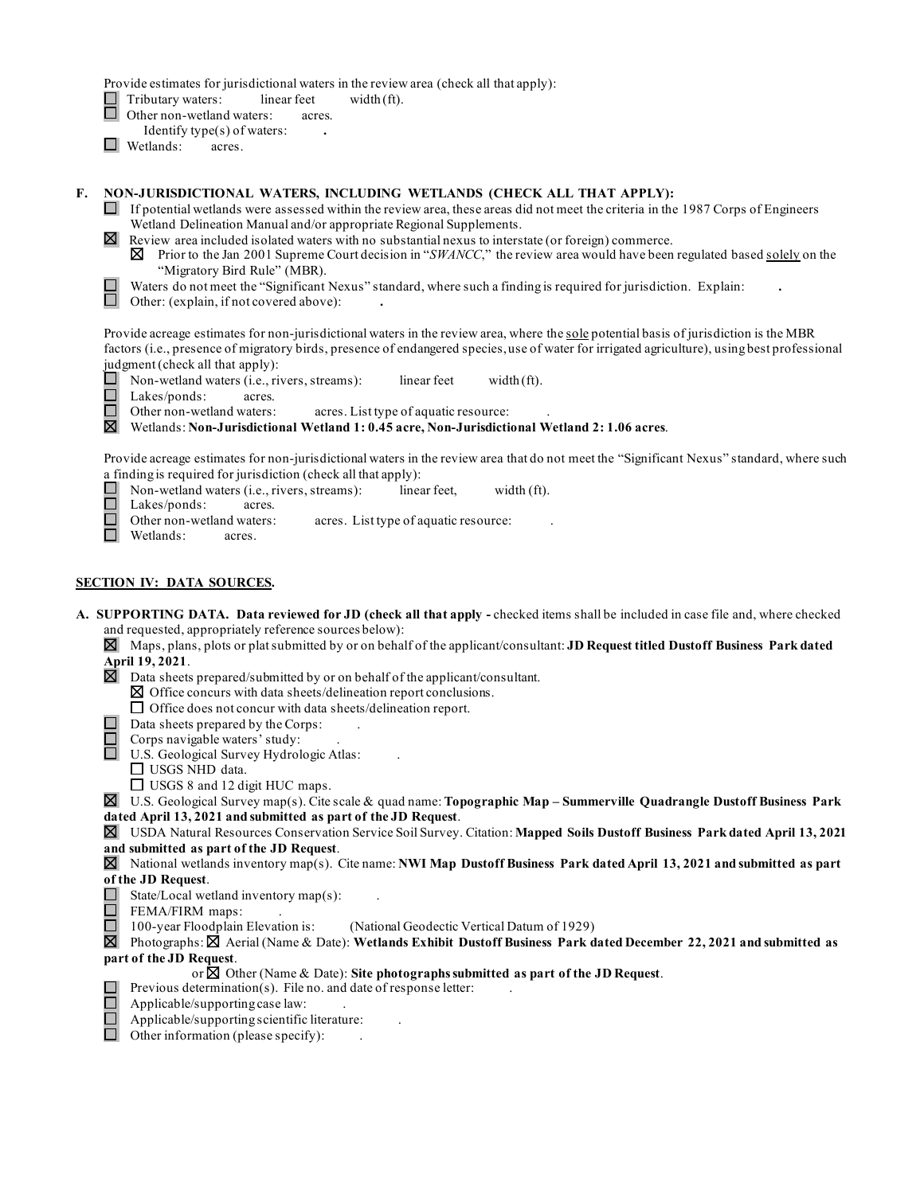Provide estimates for jurisdictional waters in the review area (check all that apply):

Tributary waters: linear feet width (ft).

- □ □ Other non-wetland waters: acres.
	- Identify type(s) of waters: **.**
- Wetlands: acres.

#### **F. NON-JURISDICTIONAL WATERS, INCLUDING WETLANDS (CHECK ALL THAT APPLY):**

- Wetland Delineation Manual and/or appropriate Regional Supplements.  $\Box$  If potential wetlands were assessed within the review area, these areas did not meet the criteria in the 1987 Corps of Engineers
- Review area included isolated waters with no substantial nexus to interstate (or foreign) commerce.
	- Prior to the Jan 2001 Supreme Court decision in "*SWANCC*," the review area would have been regulated based solely on the "Migratory Bird Rule" (MBR). 181
- □ Waters do not meet the "Significant Nexus" standard, where such a finding is required for jurisdiction. Explain:
- □ Other: (explain, if not covered above): **.**

Provide acreage estimates for non-jurisdictional waters in the review area, where the <u>sole</u> potential basis of jurisdiction is the MBR factors (i.e., presence of migratory birds, presence of endangered species, use of water for irrigated agriculture), using best professional judgment (check all that apply):

 □ Non-wetland waters (i.e., rivers, streams): linear feet width (ft).

 Lakes/ponds: acres. □

Other non-wetland waters: acres. List type of aquatic resource:

□ Wetlands: **Non-Jurisdictional Wetland 1: 0.45 acre, Non-Jurisdictional Wetland 2: 1.06 acres**.

Provide acreage estimates for non-jurisdictional waters in the review area that do not meet the "Significant Nexus" standard, where such a finding is required for jurisdiction (check all that apply):

- Non-wetland waters (i.e., rivers, streams): linear feet, width (ft). □
- Lakes/ponds: acres.
- Other non-wetland waters: □ acres. List type of aquatic resource:
- □ Other hon-wettand wate<br>□ Wetlands: acres.

#### **SECTION IV: DATA SOURCES.**

- **A. SUPPORTING DATA. Data reviewed for JD (check all that apply -** checked items shall be included in case file and, where checked and requested, appropriately reference sources below):
	- 181 Maps, plans, plots or plat submitted by or on behalf of the applicant/consultant: **JD Request titled Dustoff Business Park dated April 19, 2021**.
	- $■$  Data sheets prepared/submitted by or on behalf of the applicant/consultant.  $✓$  Office concurs with data sheets/delineation report.  $□$  Office does not concur with data sheets/delineation report.
		- $\boxtimes$  Office concurs with data sheets/delineation report conclusions.
			-
	- $\Box$  Data sheets prepared by the Corps:<br> $\Box$  Corps navigable waters' study:
		- Corps navigable waters' study: .
	- □ U.S. Geological Survey Hydrologic Atlas:<br>□ USGS NHD data...
		-
		- □ USGS NHD data.<br>□ USGS 8 and 12 digit HUC maps.
	- 181 □ U.S. Geological Survey map(s). Cite scale & quad name: **Topographic Map Summerville Quadrangle Dustoff Business Park**
	- **dated April 13, 2021 and submitted as part of the JD Request**.

 ~ USDA Natural Resources Conservation Service Soil Survey. Citation: **Mapped Soils Dustoff Business Park dated April 13, 2021 and submitted as part of the JD Request**.

~ National wetlands inventory map(s). Cite name: **NWI Map Dustoff Business Park dated April 13, 2021 and submitted as part** 

## **of the JD Request**.

 $\overline{a}$ 

- $\Box$  State/Local wetland inventory map(s): .
- $\Box$  FEMA/FIRM maps: .
- $\Box$  100-year Floodplain Elevation is: (National Geodectic Vertical Datum of 1929)

Photographs:  $\boxtimes$  Aerial (Name & Date): **Wetlands Exhibit Dustoff Business Park dated December 22, 2021 and submitted as part of the JD Request**.

or  $\boxtimes$  Other (Name & Date): Site photographs submitted as part of the JD Request.

- $\Box$  Previous determination(s). File no. and date of response letter:
	- Applicable/supporting case law: .
- Applicable/supporting scientific literature:  $\qquad \qquad$ . 百<br>口
- Other information (please specify): ... □